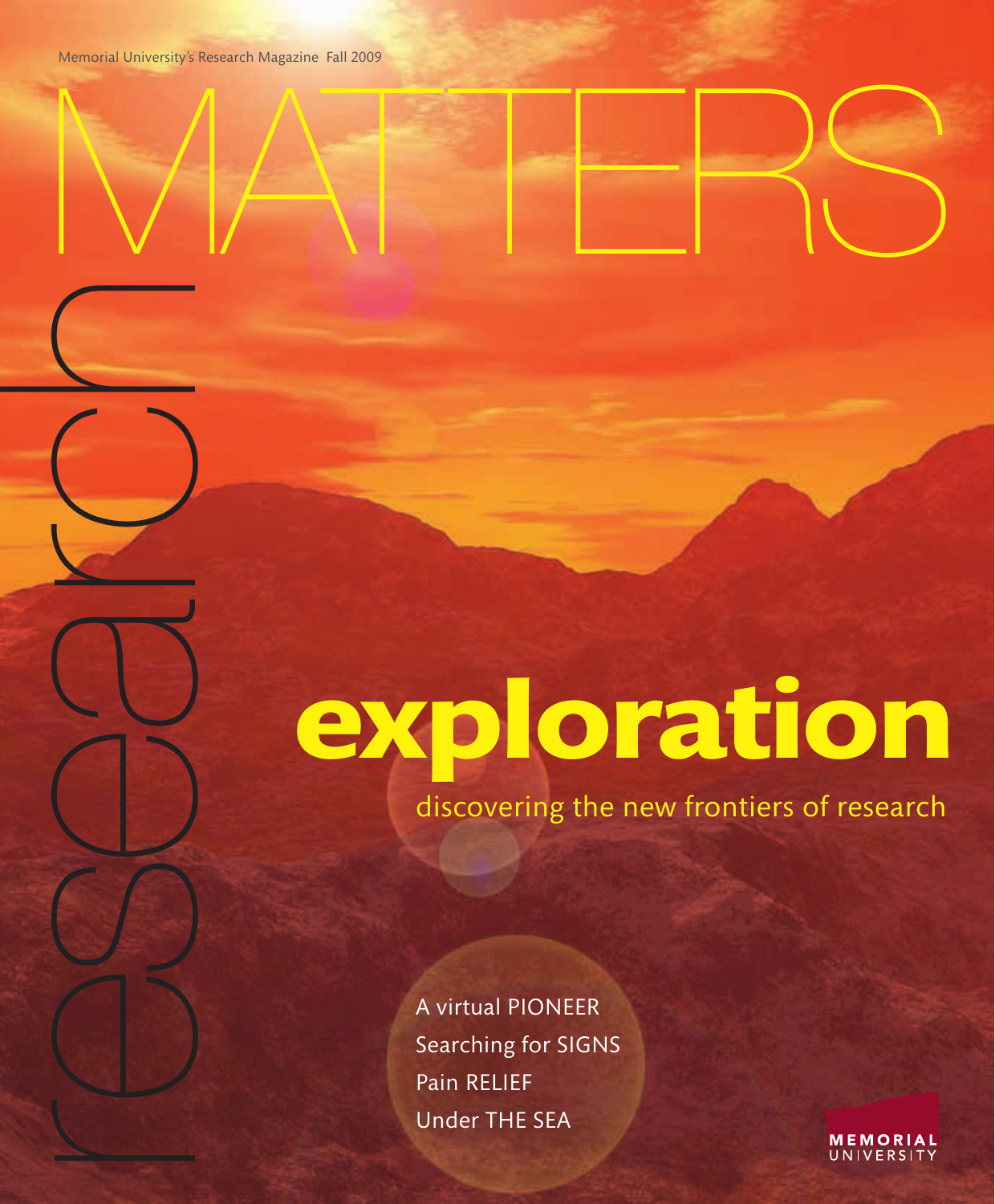$\overline{\phantom{0}}$ 

 $\bigcirc$ 

 $\bigcirc$ 

 $\bigcirc$ 

O

 $\bigcup$ 

 $\sqrt{2}$ 

# **exploration**

discovering the new frontiers of research

A virtual PIONEER Searching for SIGNS Pain RELIEF Under THE SEA

MATTERS

**MEMORIAL**<br>UNIVERSITY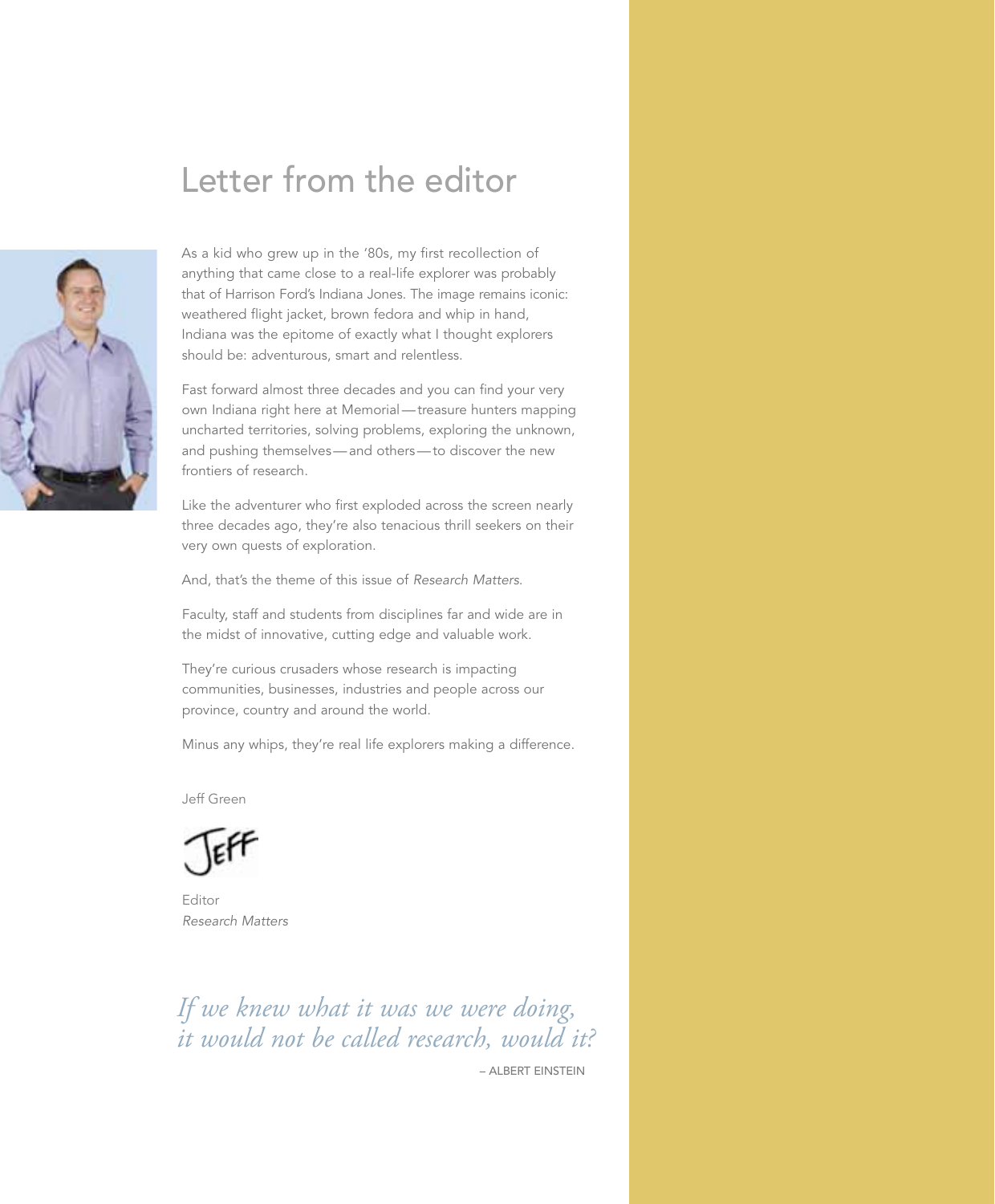### Letter from the editor



As a kid who grew up in the '80s, my first recollection of anything that came close to a real-life explorer was probably that of Harrison Ford's Indiana Jones. The image remains iconic: weathered flight jacket, brown fedora and whip in hand, Indiana was the epitome of exactly what I thought explorers should be: adventurous, smart and relentless.

Fast forward almost three decades and you can find your very own Indiana right here at Memorial — treasure hunters mapping uncharted territories, solving problems, exploring the unknown, and pushing themselves — and others — to discover the new frontiers of research.

Like the adventurer who first exploded across the screen nearly three decades ago, they're also tenacious thrill seekers on their very own quests of exploration.

And, that's the theme of this issue of Research Matters.

Faculty, staff and students from disciplines far and wide are in the midst of innovative, cutting edge and valuable work.

They're curious crusaders whose research is impacting communities, businesses, industries and people across our province, country and around the world.

Minus any whips, they're real life explorers making a difference.

Jeff Green



Editor Research Matters

*If we knew what it was we were doing, it would not be called research, would it?*

– ALBERT EINSTEIN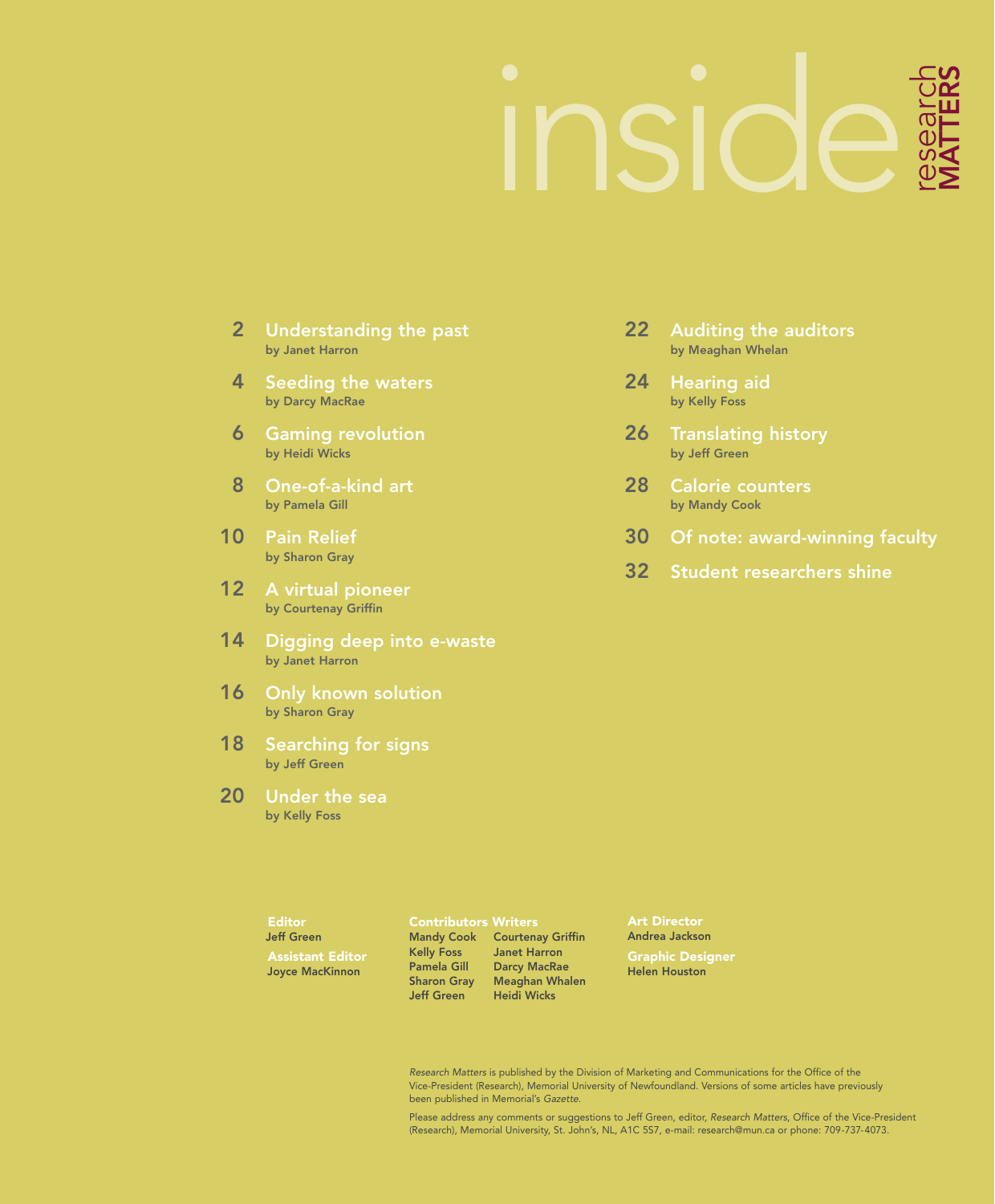### inside ے esearch  $\boldsymbol{\Sigma}$ AT  $\vdash$  $\bf \bf H$ Rပာ

- 2 Understanding the past by Janet Harron
- 4 Seeding the waters by Darcy MacRae
- **6** Gaming revolution by Heidi Wicks
- 8 One-of-a-kind art by Pamela Gill
- 10 Pain Relief by Sharon Gray
- 12 A virtual pioneer by Courtenay Griffin
- 14 Digging deep into e-waste by Janet Harron
- 16 Only known solution by Sharon Gray
- 18 Searching for signs by Jeff Green
- 20 Under the sea by Kelly Foss
- 22 Auditing the auditors by Meaghan Whelan
- 24 Hearing aid by Kelly Foss
- 26 Translating history by Jeff Green
- 28 Calorie counters by Mandy Cook
- 30 Of note: award-winning faculty
- 32 Student researchers shine

| Editor                  |
|-------------------------|
| <b>Jeff Green</b>       |
| <b>Assistant Editor</b> |
| <b>Joyce MacKinnon</b>  |

Contributors Writers Kelly Foss Pamela Gill Jeff Green

Mandy Cook Courtenay Griffin Sharon Gray Meaghan Whalen Janet Harron Darcy MacRae Heidi Wicks

Art Director Andrea Jackson

Graphic Designer Helen Houston

Research Matters is published by the Division of Marketing and Communications for the Office of the Vice-President (Research), Memorial University of Newfoundland. Versions of some articles have previously been published in Memorial's Gazette.

Please address any comments or suggestions to Jeff Green, editor, Research Matters, Office of the Vice-President (Research), Memorial University, St. John's, NL, A1C 5S7, e-mail: research@mun.ca or phone: 709-737-4073.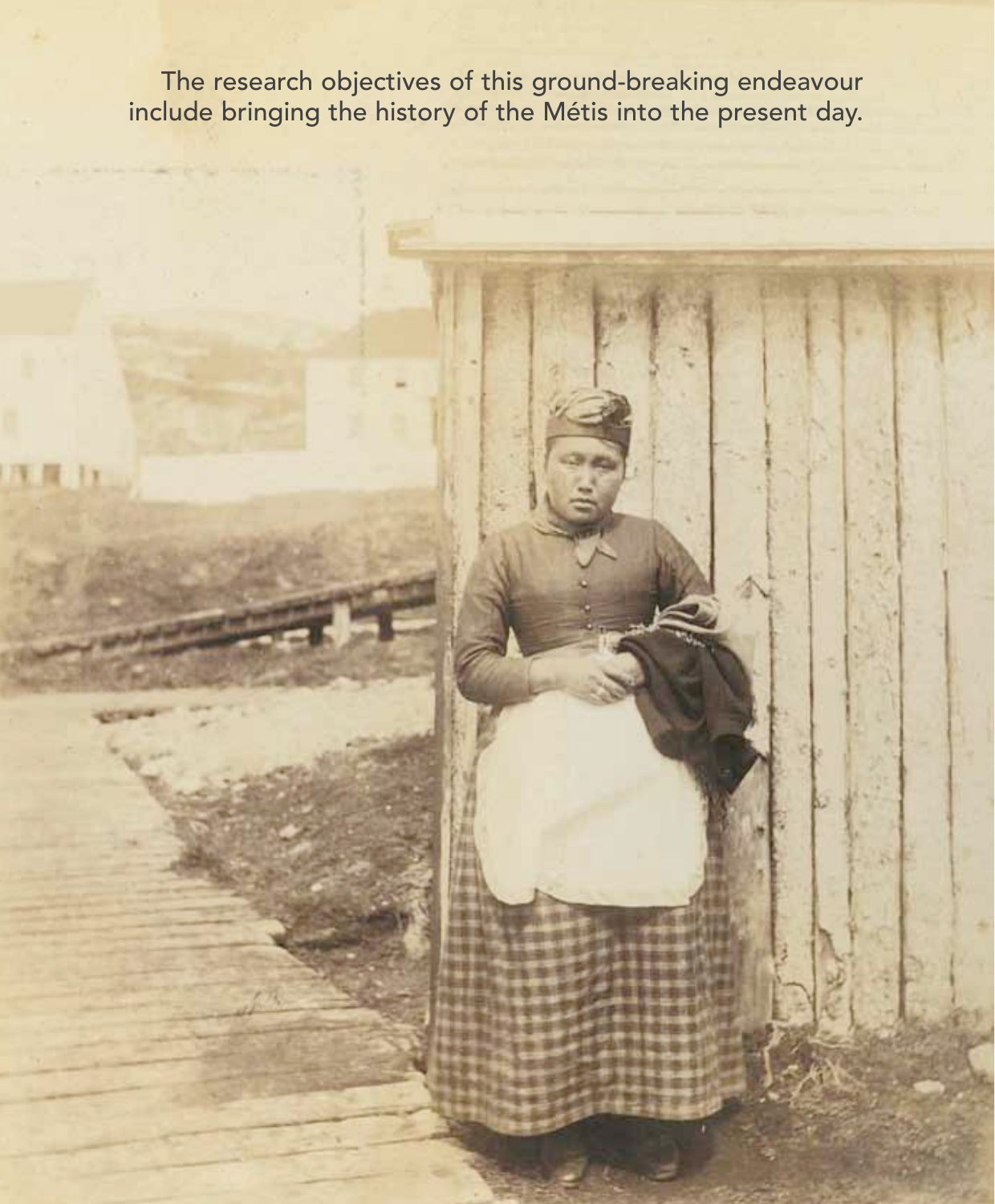The research objectives of this ground-breaking endeavour include bringing the history of the Métis into the present day.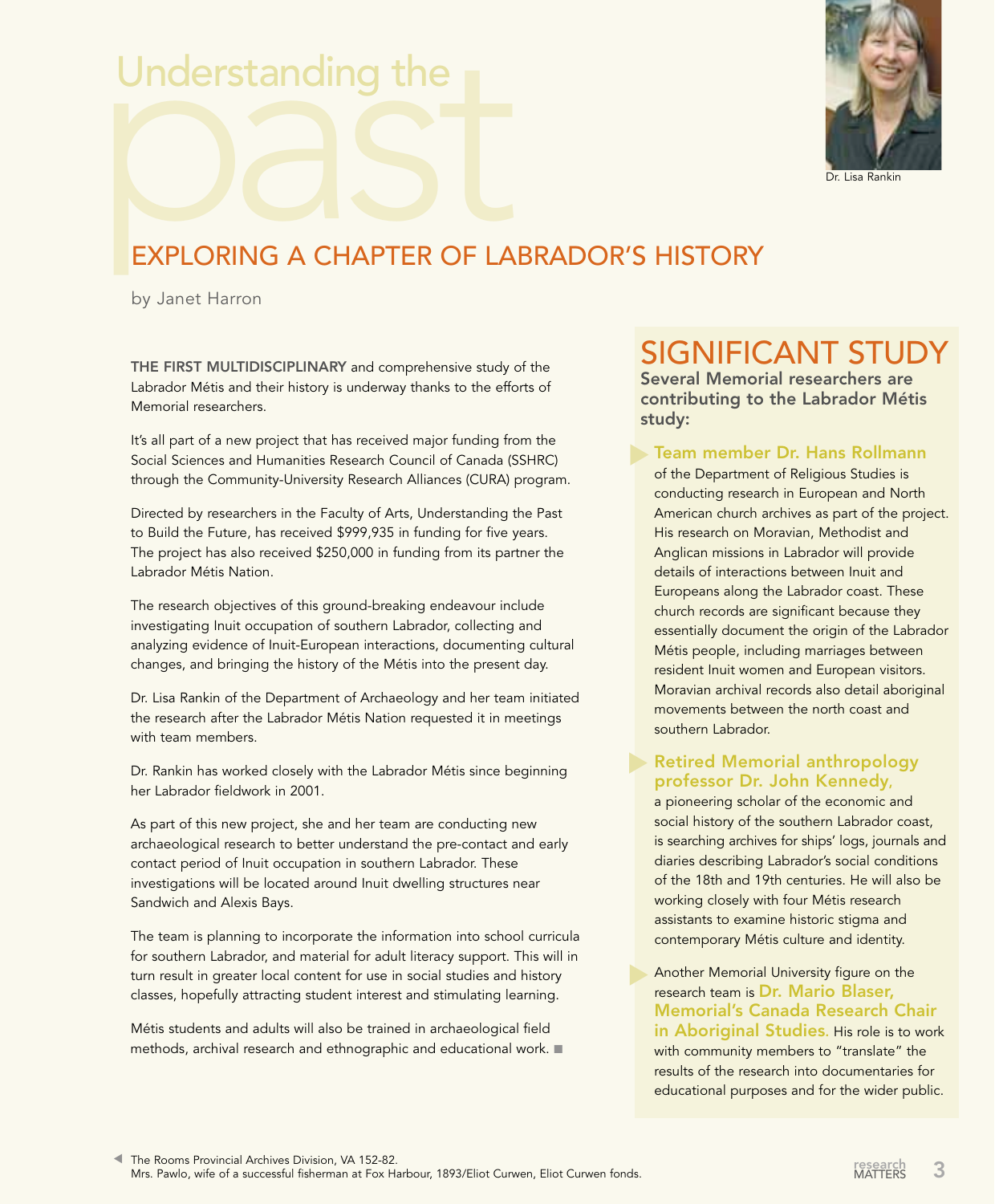# Understanding the



Dr. Lisa Rankin

### EXPLORING A CHAPTER OF LABRADOR'S HISTORY

by Janet Harron

THE FIRST MULTIDISCIPLINARY and comprehensive study of the Labrador Métis and their history is underway thanks to the efforts of Memorial researchers.

It's all part of a new project that has received major funding from the Social Sciences and Humanities Research Council of Canada (SSHRC) through the Community-University Research Alliances (CURA) program.

Directed by researchers in the Faculty of Arts, Understanding the Past to Build the Future, has received \$999,935 in funding for five years. The project has also received \$250,000 in funding from its partner the Labrador Métis Nation.

The research objectives of this ground-breaking endeavour include investigating Inuit occupation of southern Labrador, collecting and analyzing evidence of Inuit-European interactions, documenting cultural changes, and bringing the history of the Métis into the present day.

Dr. Lisa Rankin of the Department of Archaeology and her team initiated the research after the Labrador Métis Nation requested it in meetings with team members.

Dr. Rankin has worked closely with the Labrador Métis since beginning her Labrador fieldwork in 2001.

As part of this new project, she and her team are conducting new archaeological research to better understand the pre-contact and early contact period of Inuit occupation in southern Labrador. These investigations will be located around Inuit dwelling structures near Sandwich and Alexis Bays.

The team is planning to incorporate the information into school curricula for southern Labrador, and material for adult literacy support. This will in turn result in greater local content for use in social studies and history classes, hopefully attracting student interest and stimulating learning.

Métis students and adults will also be trained in archaeological field methods, archival research and ethnographic and educational work. ■

### SIGNIFICANT STUDY

Several Memorial researchers are contributing to the Labrador Métis study:

Team member Dr. Hans Rollmann of the Department of Religious Studies is conducting research in European and North American church archives as part of the project. His research on Moravian, Methodist and Anglican missions in Labrador will provide details of interactions between Inuit and Europeans along the Labrador coast. These church records are significant because they essentially document the origin of the Labrador Métis people, including marriages between resident Inuit women and European visitors. Moravian archival records also detail aboriginal movements between the north coast and southern Labrador.

### Retired Memorial anthropology professor Dr. John Kennedy,

a pioneering scholar of the economic and social history of the southern Labrador coast, is searching archives for ships' logs, journals and diaries describing Labrador's social conditions of the 18th and 19th centuries. He will also be working closely with four Métis research assistants to examine historic stigma and contemporary Métis culture and identity.

Another Memorial University figure on the research team is Dr. Mario Blaser, Memorial's Canada Research Chair in Aboriginal Studies. His role is to work with community members to "translate" the results of the research into documentaries for educational purposes and for the wider public.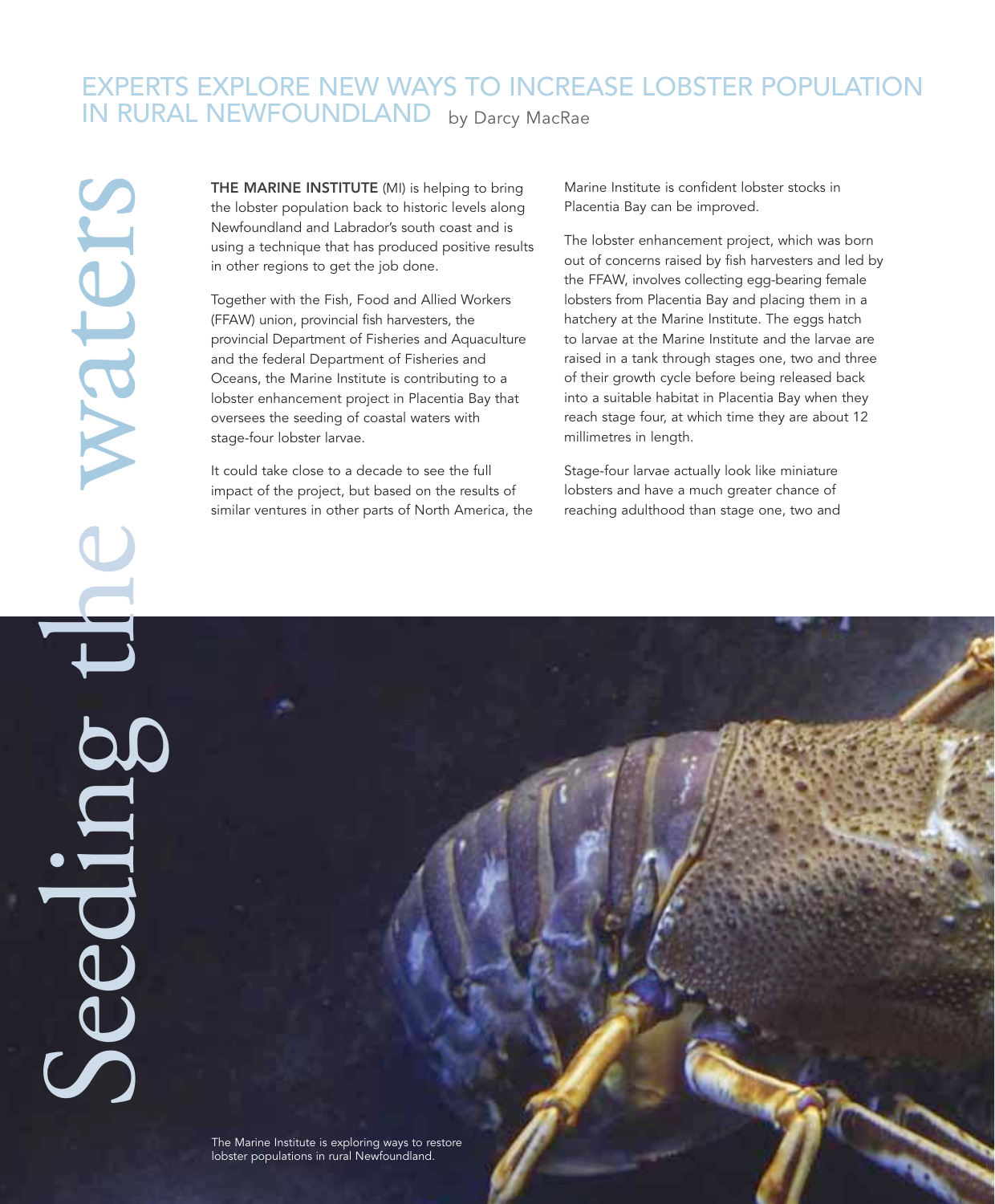### EXPERTS EXPLORE NEW WAYS TO INCREASE LOBSTER POPULATION IN RURAL NEWFOUNDLAND by Darcy MacRae

THE MARINE INSTITUTE (MI) is helping to bring the lobster population back to historic levels along Newfoundland and Labrador's south coast and is using a technique that has produced positive results in other regions to get the job done.

Together with the Fish, Food and Allied Workers (FFAW) union, provincial fish harvesters, the provincial Department of Fisheries and Aquaculture and the federal Department of Fisheries and Oceans, the Marine Institute is contributing to a lobster enhancement project in Placentia Bay that oversees the seeding of coastal waters with stage-four lobster larvae.

It could take close to a decade to see the full impact of the project, but based on the results of similar ventures in other parts of North America, the Marine Institute is confident lobster stocks in Placentia Bay can be improved.

The lobster enhancement project, which was born out of concerns raised by fish harvesters and led by the FFAW, involves collecting egg-bearing female lobsters from Placentia Bay and placing them in a hatchery at the Marine Institute. The eggs hatch to larvae at the Marine Institute and the larvae are raised in a tank through stages one, two and three of their growth cycle before being released back into a suitable habitat in Placentia Bay when they reach stage four, at which time they are about 12 millimetres in length.

Stage-four larvae actually look like miniature lobsters and have a much greater chance of reaching adulthood than stage one, two and

The Marine Institute is exploring ways to restore lobster populations in rural Newfoundland.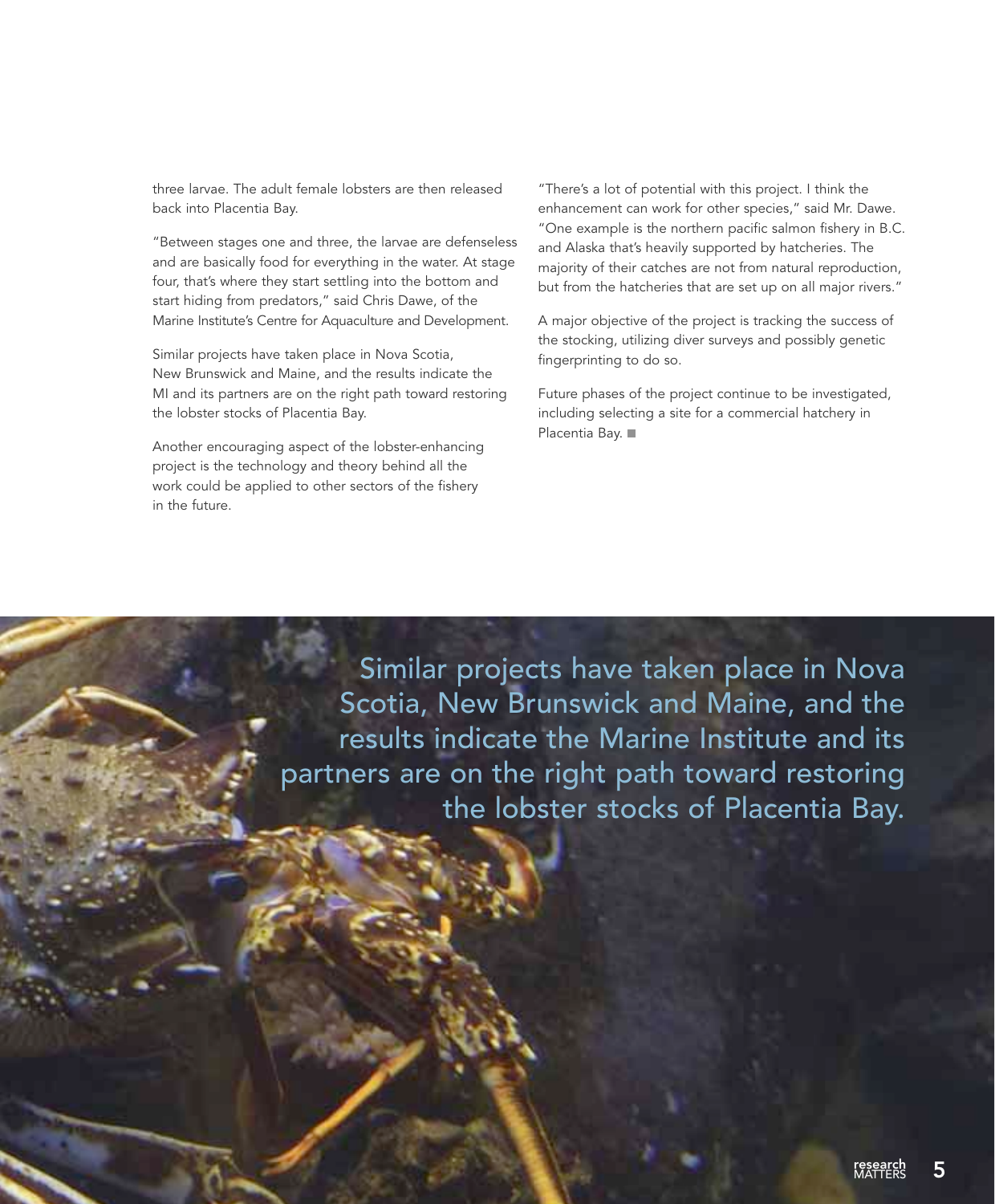three larvae. The adult female lobsters are then released back into Placentia Bay.

"Between stages one and three, the larvae are defenseless and are basically food for everything in the water. At stage four, that's where they start settling into the bottom and start hiding from predators," said Chris Dawe, of the Marine Institute's Centre for Aquaculture and Development.

Similar projects have taken place in Nova Scotia, New Brunswick and Maine, and the results indicate the MI and its partners are on the right path toward restoring the lobster stocks of Placentia Bay.

Another encouraging aspect of the lobster-enhancing project is the technology and theory behind all the work could be applied to other sectors of the fishery in the future.

"There's a lot of potential with this project. I think the enhancement can work for other species," said Mr. Dawe. "One example is the northern pacific salmon fishery in B.C. and Alaska that's heavily supported by hatcheries. The majority of their catches are not from natural reproduction, but from the hatcheries that are set up on all major rivers."

A major objective of the project is tracking the success of the stocking, utilizing diver surveys and possibly genetic fingerprinting to do so.

Future phases of the project continue to be investigated, including selecting a site for a commercial hatchery in Placentia Bay. ■

Similar projects have taken place in Nova Scotia, New Brunswick and Maine, and the results indicate the Marine Institute and its partners are on the right path toward restoring the lobster stocks of Placentia Bay.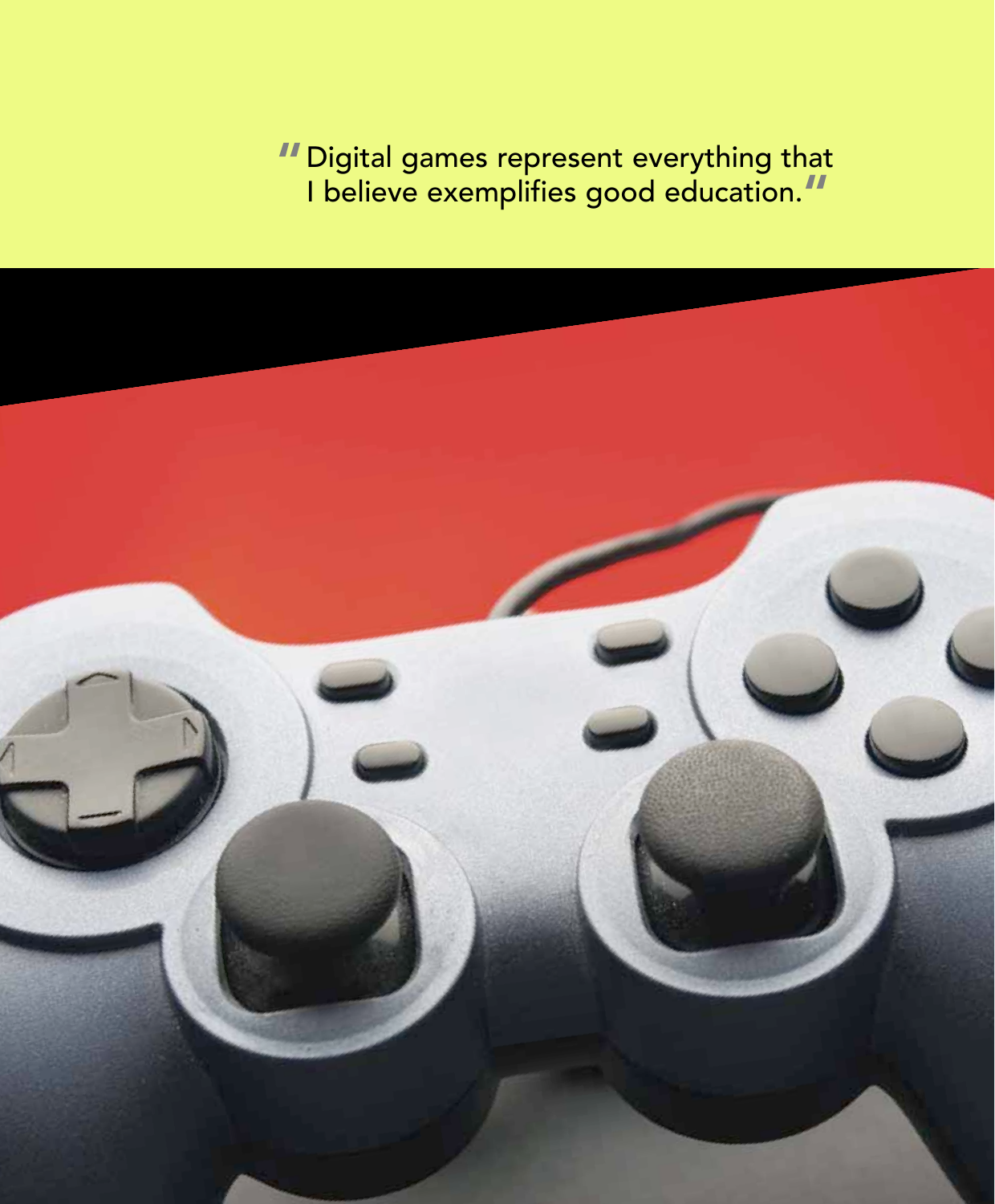Digital games represent everything that I believe exemplifies good education." "

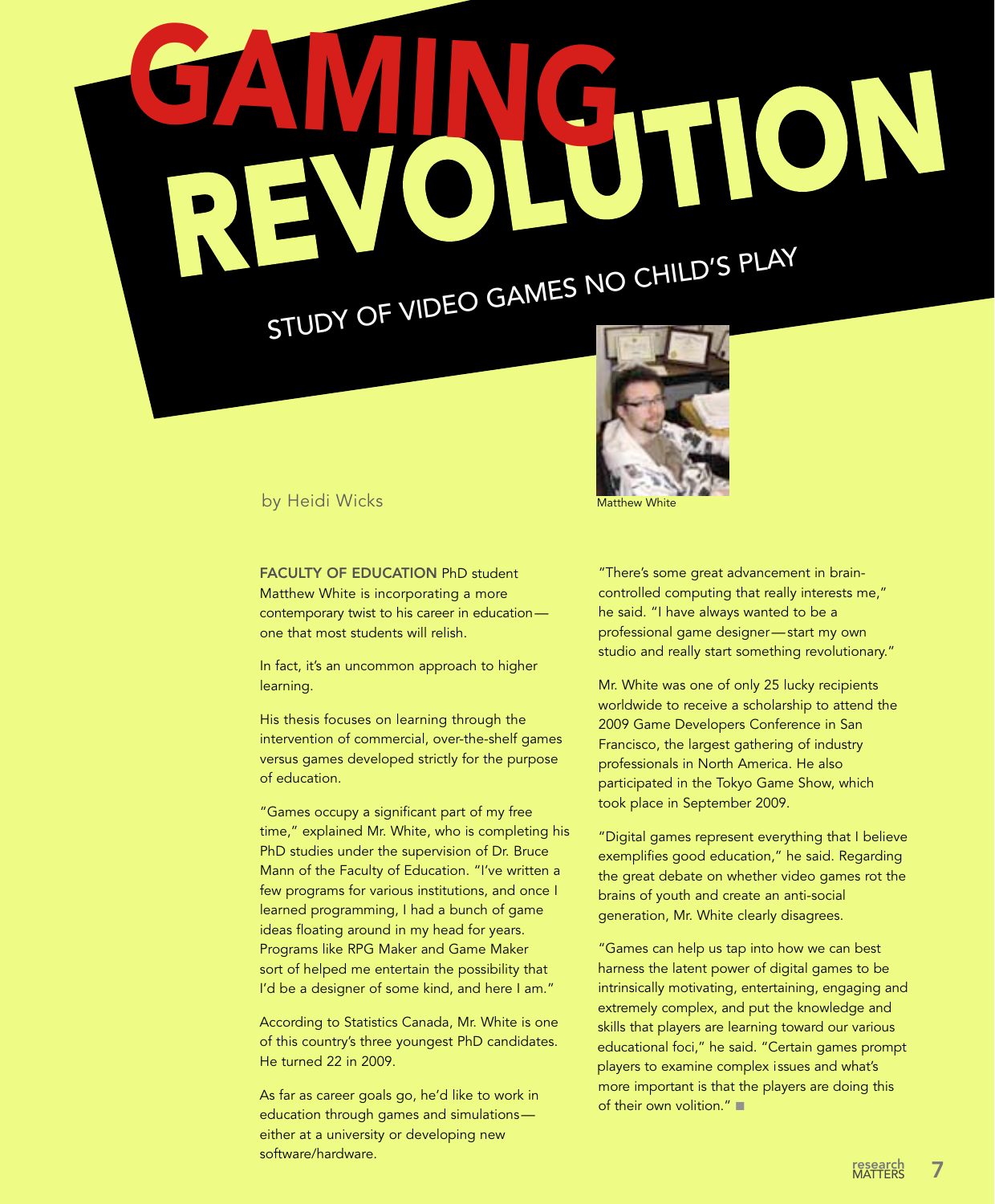# REVOLUTION STUDY OF VIDEO GAMES NO CHILD'S PLAY GAMING



by Heidi Wicks

FACULTY OF EDUCATION PhD student Matthew White is incorporating a more contemporary twist to his career in education one that most students will relish.

In fact, it's an uncommon approach to higher learning.

His thesis focuses on learning through the intervention of commercial, over-the-shelf games versus games developed strictly for the purpose of education.

"Games occupy a significant part of my free time," explained Mr. White, who is completing his PhD studies under the supervision of Dr. Bruce Mann of the Faculty of Education. "I've written a few programs for various institutions, and once I learned programming, I had a bunch of game ideas floating around in my head for years. Programs like RPG Maker and Game Maker sort of helped me entertain the possibility that I'd be a designer of some kind, and here I am."

According to Statistics Canada, Mr. White is one of this country's three youngest PhD candidates. He turned 22 in 2009.

As far as career goals go, he'd like to work in education through games and simulations either at a university or developing new software/hardware.

"There's some great advancement in braincontrolled computing that really interests me," he said. "I have always wanted to be a professional game designer— start my own studio and really start something revolutionary."

Mr. White was one of only 25 lucky recipients worldwide to receive a scholarship to attend the 2009 Game Developers Conference in San Francisco, the largest gathering of industry professionals in North America. He also participated in the Tokyo Game Show, which took place in September 2009.

"Digital games represent everything that I believe exemplifies good education," he said. Regarding the great debate on whether video games rot the brains of youth and create an anti-social generation, Mr. White clearly disagrees.

"Games can help us tap into how we can best harness the latent power of digital games to be intrinsically motivating, entertaining, engaging and extremely complex, and put the knowledge and skills that players are learning toward our various educational foci," he said. "Certain games prompt players to examine complex issues and what's more important is that the players are doing this of their own volition." ■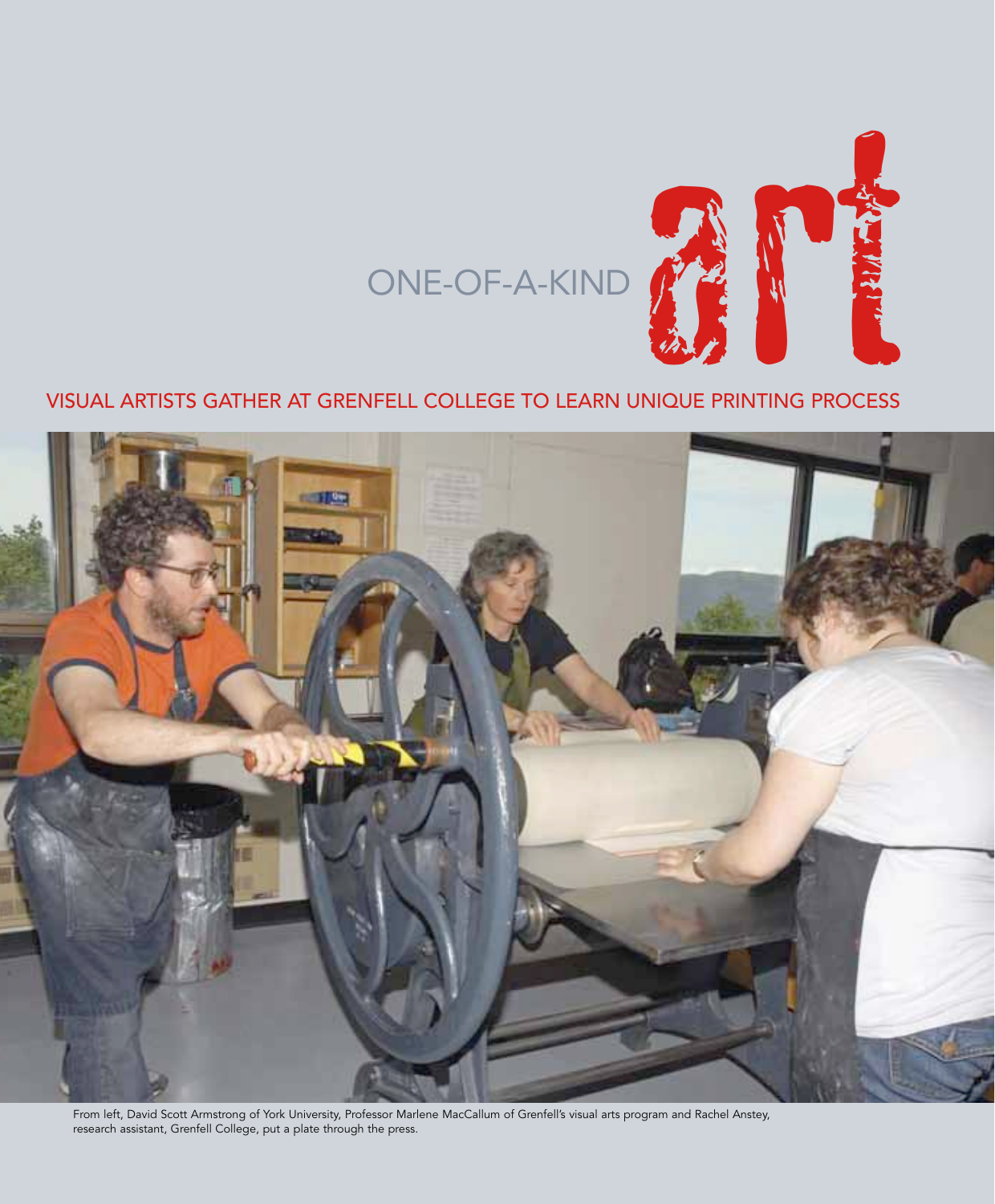### ONE-OF-A-KIND



### VISUAL ARTISTS GATHER AT GRENFELL COLLEGE TO LEARN UNIQUE PRINTING PROCESS



From left, David Scott Armstrong of York University, Professor Marlene MacCallum of Grenfell's visual arts program and Rachel Anstey, research assistant, Grenfell College, put a plate through the press.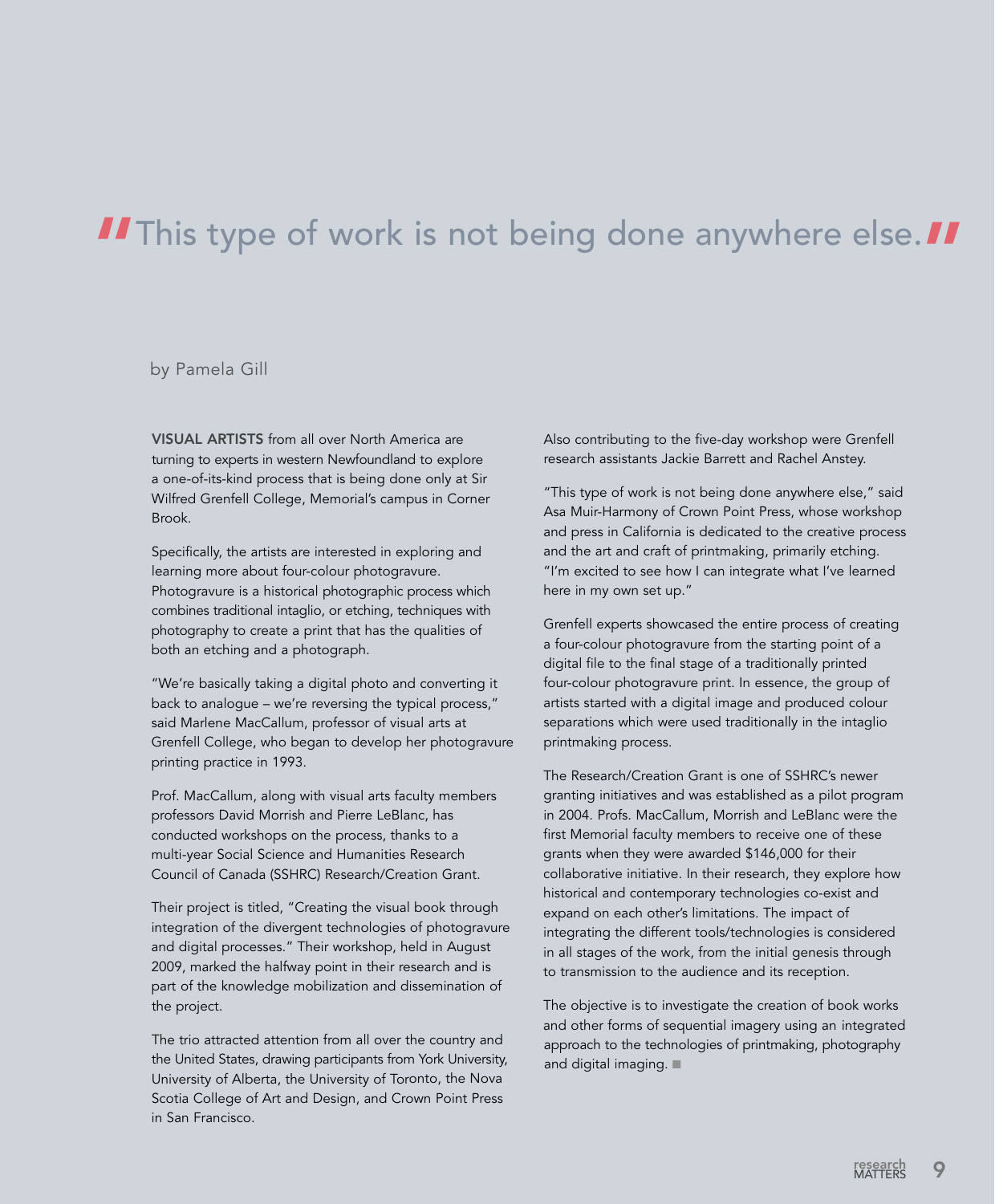# II This type of work is not being done anywhere else. II

#### by Pamela Gill

VISUAL ARTISTS from all over North America are turning to experts in western Newfoundland to explore a one-of-its-kind process that is being done only at Sir Wilfred Grenfell College, Memorial's campus in Corner Brook.

Specifically, the artists are interested in exploring and learning more about four-colour photogravure. Photogravure is a historical photographic process which combines traditional intaglio, or etching, techniques with photography to create a print that has the qualities of both an etching and a photograph.

"We're basically taking a digital photo and converting it back to analogue – we're reversing the typical process," said Marlene MacCallum, professor of visual arts at Grenfell College, who began to develop her photogravure printing practice in 1993.

Prof. MacCallum, along with visual arts faculty members professors David Morrish and Pierre LeBlanc, has conducted workshops on the process, thanks to a multi-year Social Science and Humanities Research Council of Canada (SSHRC) Research/Creation Grant.

Their project is titled, "Creating the visual book through integration of the divergent technologies of photogravure and digital processes." Their workshop, held in August 2009, marked the halfway point in their research and is part of the knowledge mobilization and dissemination of the project.

The trio attracted attention from all over the country and the United States, drawing participants from York University, University of Alberta, the University of Toronto, the Nova Scotia College of Art and Design, and Crown Point Press in San Francisco.

Also contributing to the five-day workshop were Grenfell research assistants Jackie Barrett and Rachel Anstey.

"This type of work is not being done anywhere else," said Asa Muir-Harmony of Crown Point Press, whose workshop and press in California is dedicated to the creative process and the art and craft of printmaking, primarily etching. "I'm excited to see how I can integrate what I've learned here in my own set up."

Grenfell experts showcased the entire process of creating a four-colour photogravure from the starting point of a digital file to the final stage of a traditionally printed four-colour photogravure print. In essence, the group of artists started with a digital image and produced colour separations which were used traditionally in the intaglio printmaking process.

The Research/Creation Grant is one of SSHRC's newer granting initiatives and was established as a pilot program in 2004. Profs. MacCallum, Morrish and LeBlanc were the first Memorial faculty members to receive one of these grants when they were awarded \$146,000 for their collaborative initiative. In their research, they explore how historical and contemporary technologies co-exist and expand on each other's limitations. The impact of integrating the different tools/technologies is considered in all stages of the work, from the initial genesis through to transmission to the audience and its reception.

The objective is to investigate the creation of book works and other forms of sequential imagery using an integrated approach to the technologies of printmaking, photography and digital imaging. ■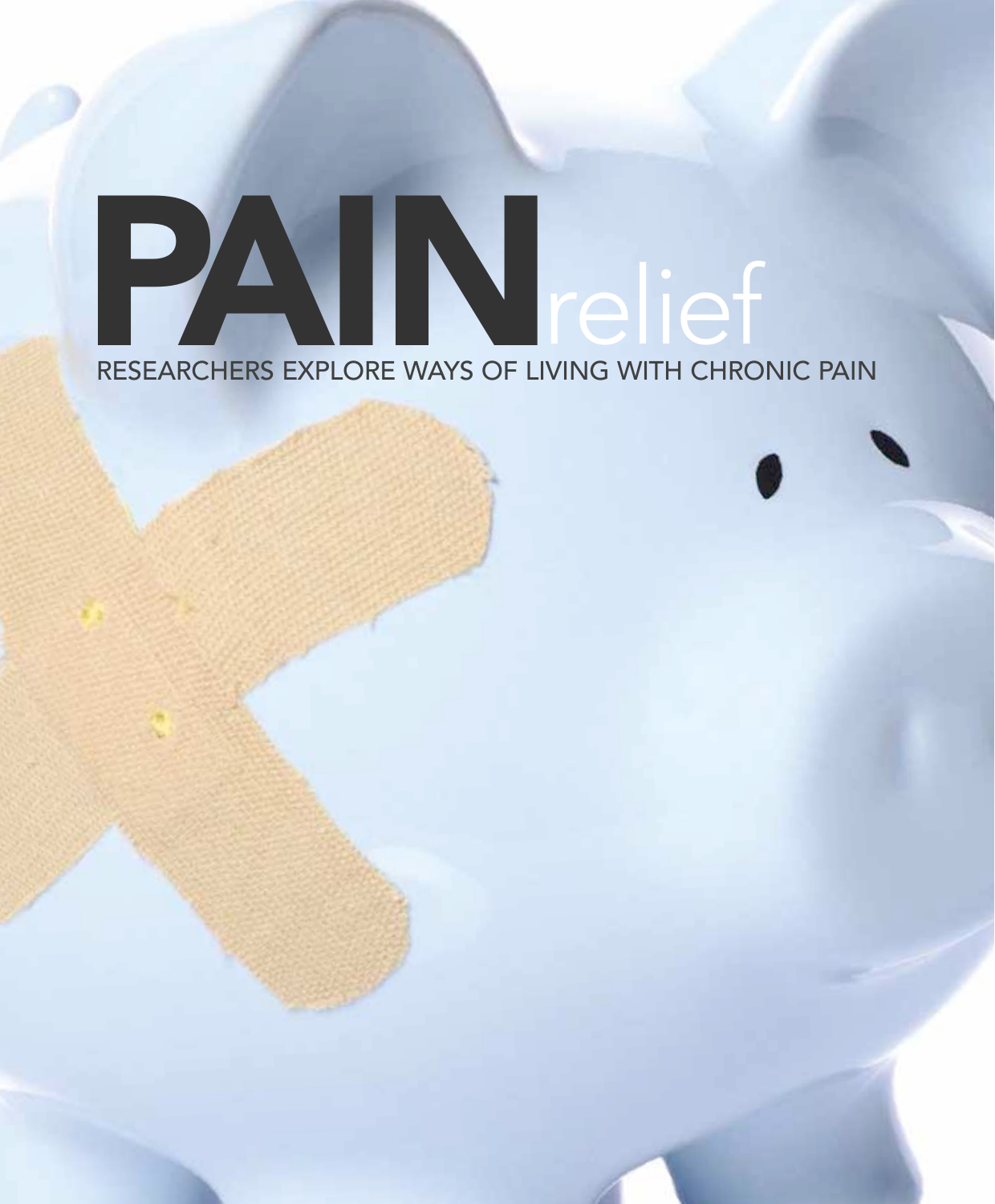### RESEARCHERS EXPLORE WAYS OF LIN RESEAR CHERS EXP LORE WAYS OF LIVING WITH CHRONIC PAIN relief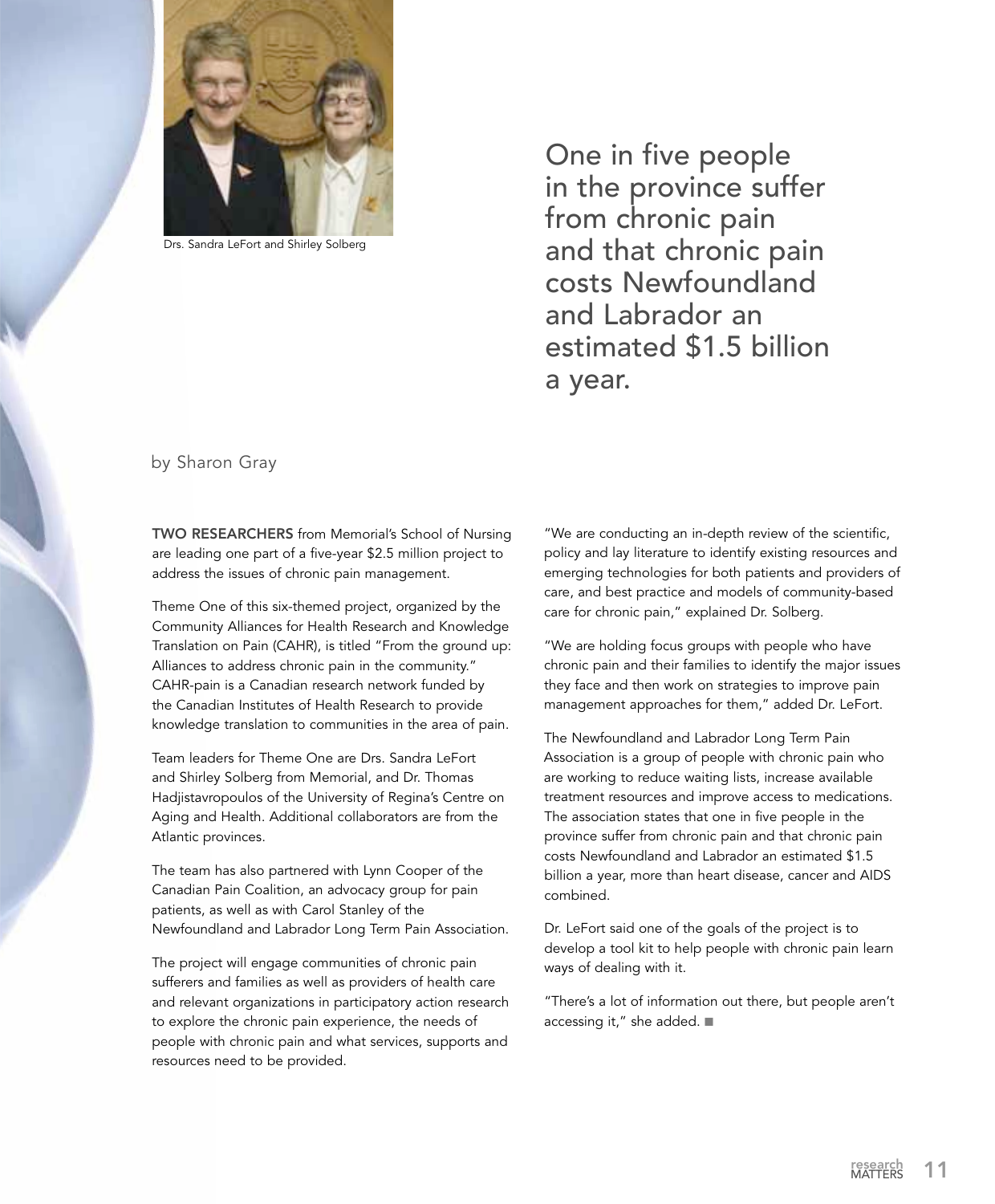

Drs. Sandra LeFort and Shirley Solberg

One in five people in the province suffer from chronic pain and that chronic pain costs Newfoundland and Labrador an estimated \$1.5 billion a year.

#### by Sharon Gray

TWO RESEARCHERS from Memorial's School of Nursing are leading one part of a five-year \$2.5 million project to address the issues of chronic pain management.

Theme One of this six-themed project, organized by the Community Alliances for Health Research and Knowledge Translation on Pain (CAHR), is titled "From the ground up: Alliances to address chronic pain in the community." CAHR-pain is a Canadian research network funded by the Canadian Institutes of Health Research to provide knowledge translation to communities in the area of pain.

Team leaders for Theme One are Drs. Sandra LeFort and Shirley Solberg from Memorial, and Dr. Thomas Hadjistavropoulos of the University of Regina's Centre on Aging and Health. Additional collaborators are from the Atlantic provinces.

The team has also partnered with Lynn Cooper of the Canadian Pain Coalition, an advocacy group for pain patients, as well as with Carol Stanley of the Newfoundland and Labrador Long Term Pain Association.

The project will engage communities of chronic pain sufferers and families as well as providers of health care and relevant organizations in participatory action research to explore the chronic pain experience, the needs of people with chronic pain and what services, supports and resources need to be provided.

"We are conducting an in-depth review of the scientific, policy and lay literature to identify existing resources and emerging technologies for both patients and providers of care, and best practice and models of community-based care for chronic pain," explained Dr. Solberg.

"We are holding focus groups with people who have chronic pain and their families to identify the major issues they face and then work on strategies to improve pain management approaches for them," added Dr. LeFort.

The Newfoundland and Labrador Long Term Pain Association is a group of people with chronic pain who are working to reduce waiting lists, increase available treatment resources and improve access to medications. The association states that one in five people in the province suffer from chronic pain and that chronic pain costs Newfoundland and Labrador an estimated \$1.5 billion a year, more than heart disease, cancer and AIDS combined.

Dr. LeFort said one of the goals of the project is to develop a tool kit to help people with chronic pain learn ways of dealing with it.

"There's a lot of information out there, but people aren't accessing it," she added. ■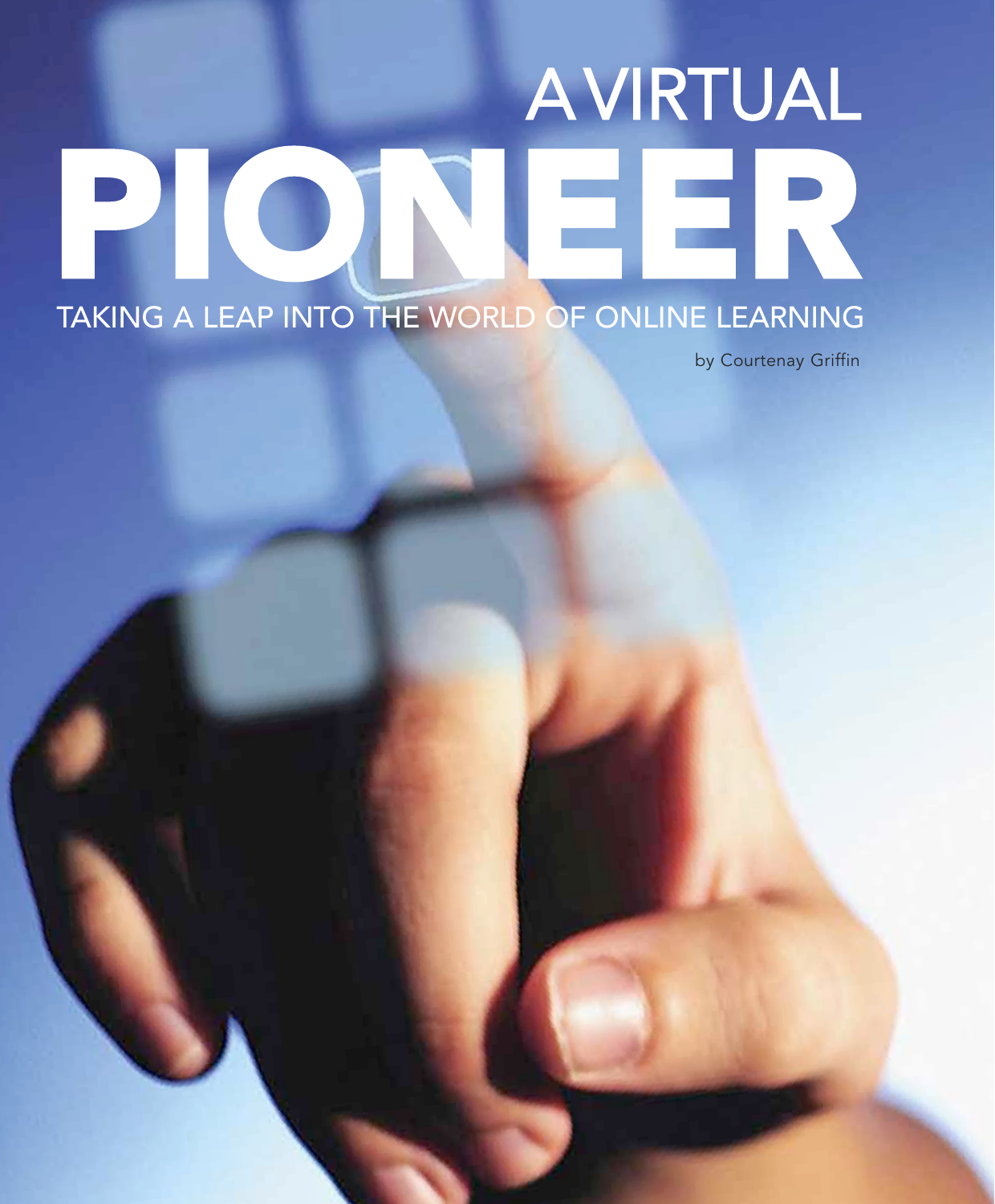### PIO NE ANTONICO TAKING A LE AP INTO T HE WORLD OF ON LINE LE ARNING E R AVIRTUAL

by Courtenay Griffin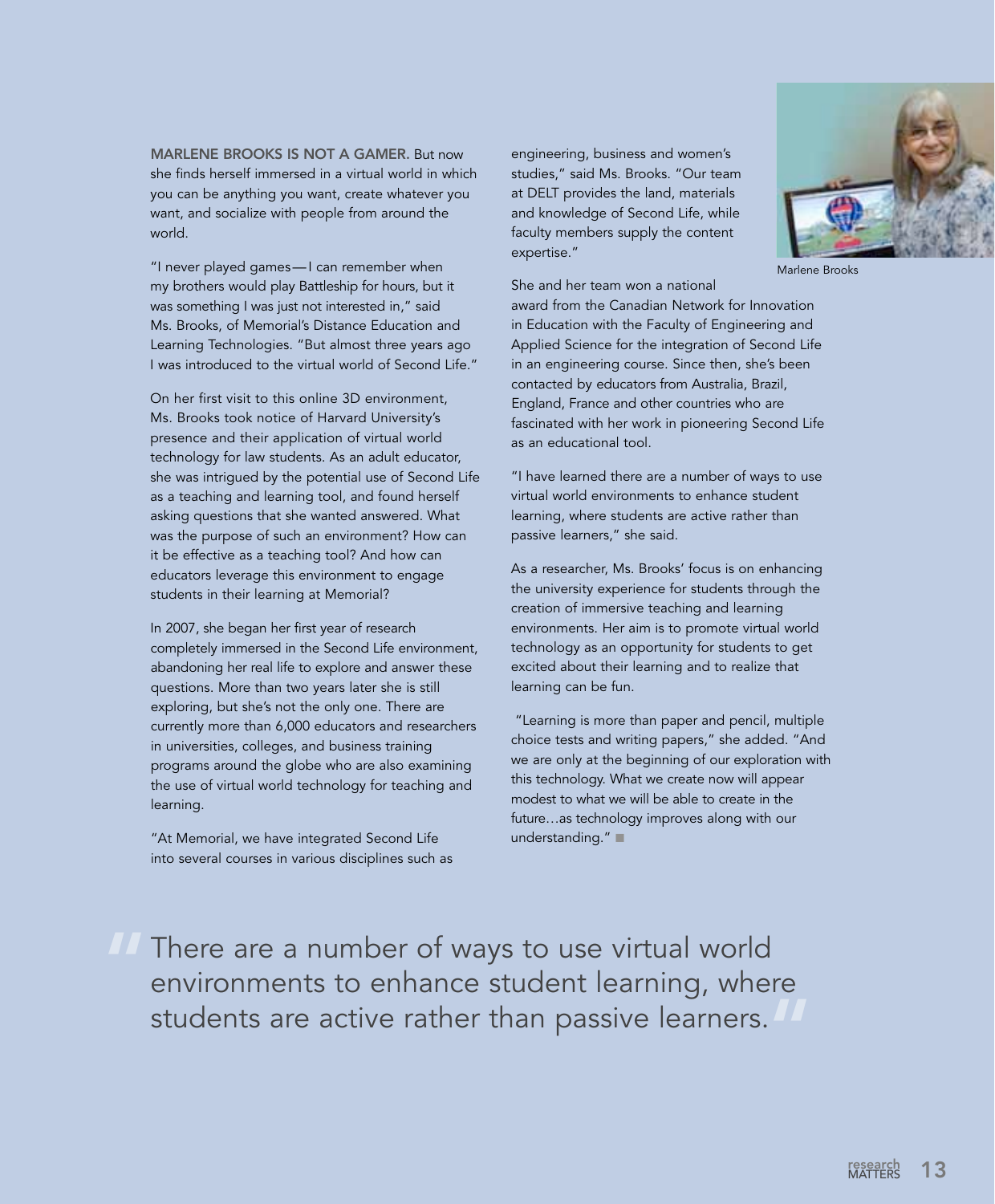MARLENE BROOKS IS NOT A GAMER. But now she finds herself immersed in a virtual world in which you can be anything you want, create whatever you want, and socialize with people from around the world.

"I never played games— I can remember when my brothers would play Battleship for hours, but it was something I was just not interested in," said Ms. Brooks, of Memorial's Distance Education and Learning Technologies. "But almost three years ago I was introduced to the virtual world of Second Life."

On her first visit to this online 3D environment, Ms. Brooks took notice of Harvard University's presence and their application of virtual world technology for law students. As an adult educator, she was intrigued by the potential use of Second Life as a teaching and learning tool, and found herself asking questions that she wanted answered. What was the purpose of such an environment? How can it be effective as a teaching tool? And how can educators leverage this environment to engage students in their learning at Memorial?

In 2007, she began her first year of research completely immersed in the Second Life environment, abandoning her real life to explore and answer these questions. More than two years later she is still exploring, but she's not the only one. There are currently more than 6,000 educators and researchers in universities, colleges, and business training programs around the globe who are also examining the use of virtual world technology for teaching and learning.

"At Memorial, we have integrated Second Life into several courses in various disciplines such as engineering, business and women's studies," said Ms. Brooks. "Our team at DELT provides the land, materials and knowledge of Second Life, while faculty members supply the content expertise."

She and her team won a national

award from the Canadian Network for Innovation in Education with the Faculty of Engineering and Applied Science for the integration of Second Life in an engineering course. Since then, she's been contacted by educators from Australia, Brazil, England, France and other countries who are fascinated with her work in pioneering Second Life as an educational tool.

"I have learned there are a number of ways to use virtual world environments to enhance student learning, where students are active rather than passive learners," she said.

As a researcher, Ms. Brooks' focus is on enhancing the university experience for students through the creation of immersive teaching and learning environments. Her aim is to promote virtual world technology as an opportunity for students to get excited about their learning and to realize that learning can be fun.

"Learning is more than paper and pencil, multiple choice tests and writing papers," she added. "And we are only at the beginning of our exploration with this technology. What we create now will appear modest to what we will be able to create in the future…as technology improves along with our understanding." ■

There are a number of ways to use virtual world<br>environments to enhance student learning, whe environments to enhance student learning, where students are active rather than passive learners.



Marlene Brooks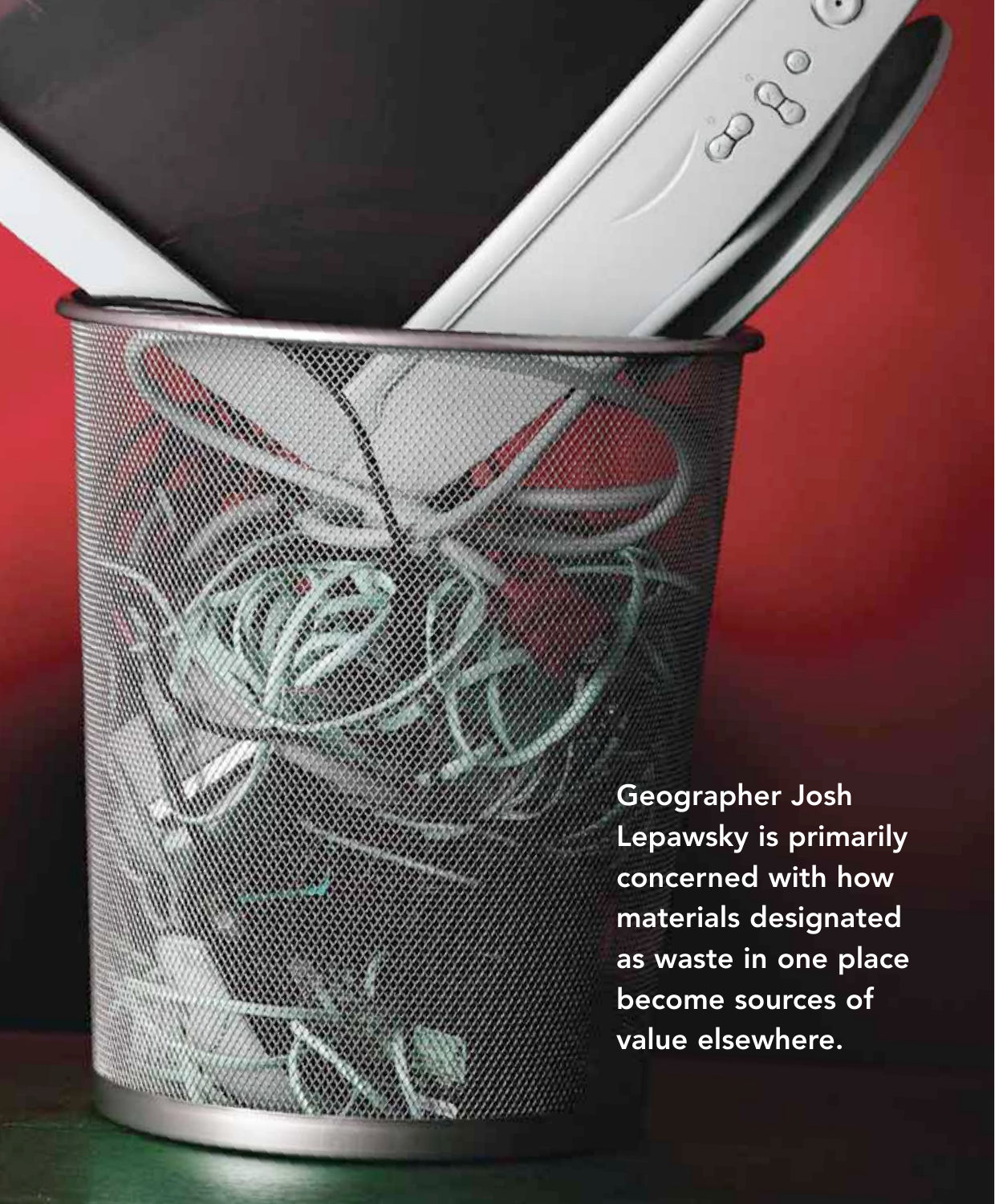Geographer Josh Lepawsky is primarily concerned with how materials designated as waste in one place become sources of value elsewhere.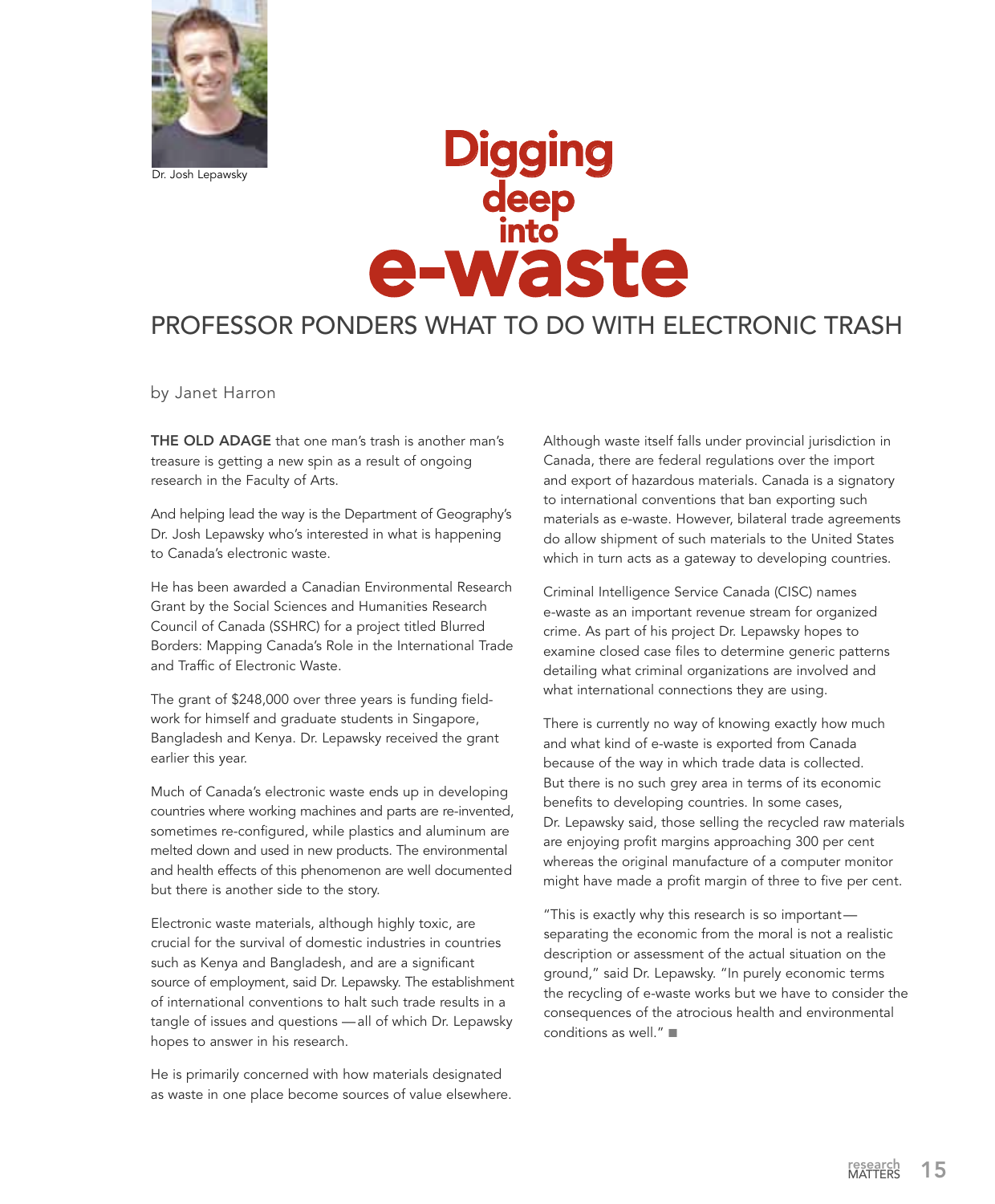

Dr. Josh Lepawsky

### **Digging** deep e-waste

### PROFESSOR PONDERS WHAT TO DO WITH ELECTRONIC TRASH

by Janet Harron

THE OLD ADAGE that one man's trash is another man's treasure is getting a new spin as a result of ongoing research in the Faculty of Arts.

And helping lead the way is the Department of Geography's Dr. Josh Lepawsky who's interested in what is happening to Canada's electronic waste.

He has been awarded a Canadian Environmental Research Grant by the Social Sciences and Humanities Research Council of Canada (SSHRC) for a project titled Blurred Borders: Mapping Canada's Role in the International Trade and Traffic of Electronic Waste.

The grant of \$248,000 over three years is funding fieldwork for himself and graduate students in Singapore, Bangladesh and Kenya. Dr. Lepawsky received the grant earlier this year.

Much of Canada's electronic waste ends up in developing countries where working machines and parts are re-invented, sometimes re-configured, while plastics and aluminum are melted down and used in new products. The environmental and health effects of this phenomenon are well documented but there is another side to the story.

Electronic waste materials, although highly toxic, are crucial for the survival of domestic industries in countries such as Kenya and Bangladesh, and are a significant source of employment, said Dr. Lepawsky. The establishment of international conventions to halt such trade results in a tangle of issues and questions — all of which Dr. Lepawsky hopes to answer in his research.

He is primarily concerned with how materials designated as waste in one place become sources of value elsewhere. Although waste itself falls under provincial jurisdiction in Canada, there are federal regulations over the import and export of hazardous materials. Canada is a signatory to international conventions that ban exporting such materials as e-waste. However, bilateral trade agreements do allow shipment of such materials to the United States which in turn acts as a gateway to developing countries.

Criminal Intelligence Service Canada (CISC) names e-waste as an important revenue stream for organized crime. As part of his project Dr. Lepawsky hopes to examine closed case files to determine generic patterns detailing what criminal organizations are involved and what international connections they are using.

There is currently no way of knowing exactly how much and what kind of e-waste is exported from Canada because of the way in which trade data is collected. But there is no such grey area in terms of its economic benefits to developing countries. In some cases, Dr. Lepawsky said, those selling the recycled raw materials are enjoying profit margins approaching 300 per cent whereas the original manufacture of a computer monitor might have made a profit margin of three to five per cent.

"This is exactly why this research is so important separating the economic from the moral is not a realistic description or assessment of the actual situation on the ground," said Dr. Lepawsky. "In purely economic terms the recycling of e-waste works but we have to consider the consequences of the atrocious health and environmental conditions as well." ■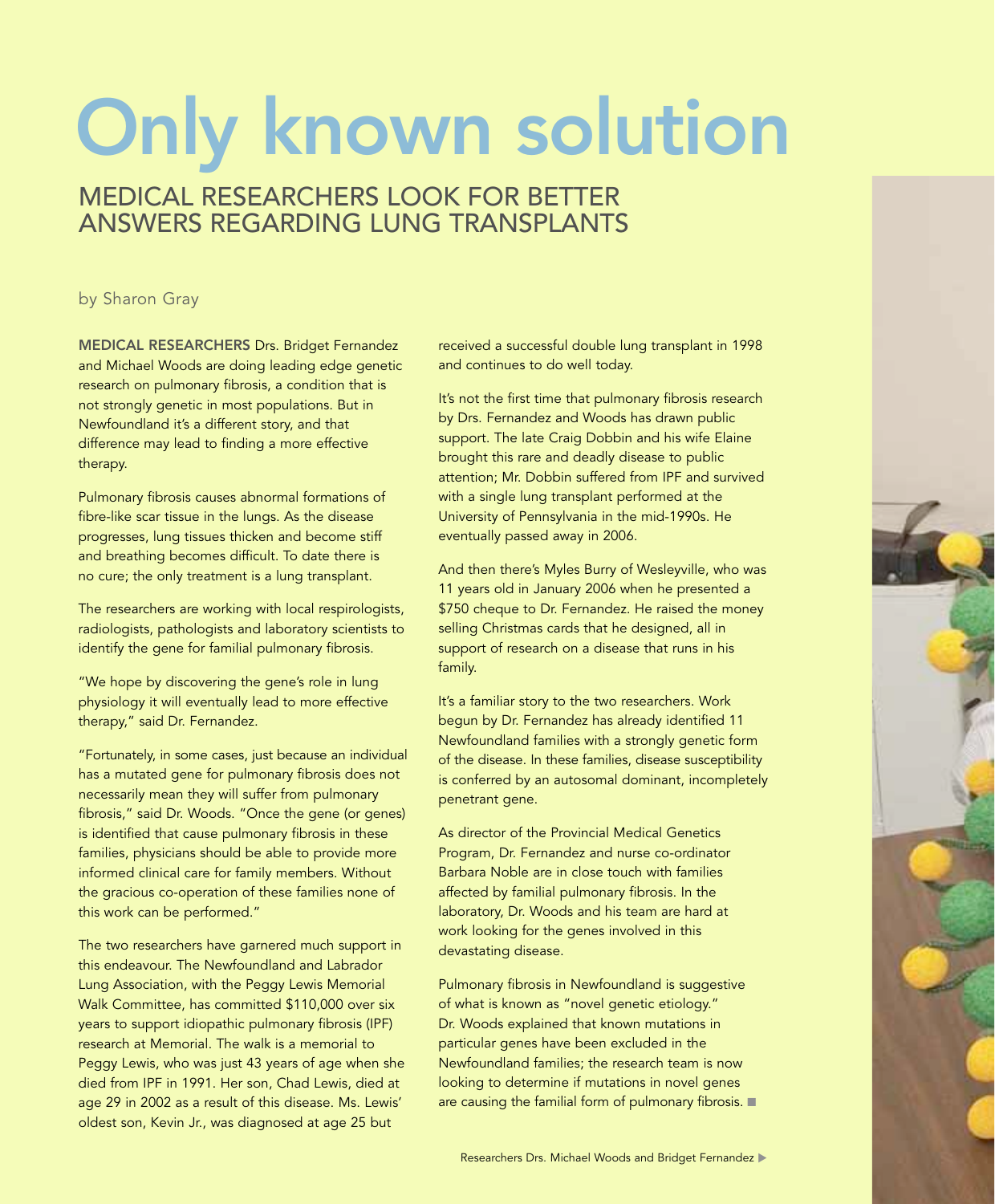# Only known solution

### MEDICAL RESEARCHERS LOOK FOR BETTER ANSWERS REGARDING LUNG TRANSPLANTS

### by Sharon Gray

MEDICAL RESEARCHERS Drs. Bridget Fernandez and Michael Woods are doing leading edge genetic research on pulmonary fibrosis, a condition that is not strongly genetic in most populations. But in Newfoundland it's a different story, and that difference may lead to finding a more effective therapy.

Pulmonary fibrosis causes abnormal formations of fibre-like scar tissue in the lungs. As the disease progresses, lung tissues thicken and become stiff and breathing becomes difficult. To date there is no cure; the only treatment is a lung transplant.

The researchers are working with local respirologists, radiologists, pathologists and laboratory scientists to identify the gene for familial pulmonary fibrosis.

"We hope by discovering the gene's role in lung physiology it will eventually lead to more effective therapy," said Dr. Fernandez.

"Fortunately, in some cases, just because an individual has a mutated gene for pulmonary fibrosis does not necessarily mean they will suffer from pulmonary fibrosis," said Dr. Woods. "Once the gene (or genes) is identified that cause pulmonary fibrosis in these families, physicians should be able to provide more informed clinical care for family members. Without the gracious co-operation of these families none of this work can be performed."

The two researchers have garnered much support in this endeavour. The Newfoundland and Labrador Lung Association, with the Peggy Lewis Memorial Walk Committee, has committed \$110,000 over six years to support idiopathic pulmonary fibrosis (IPF) research at Memorial. The walk is a memorial to Peggy Lewis, who was just 43 years of age when she died from IPF in 1991. Her son, Chad Lewis, died at age 29 in 2002 as a result of this disease. Ms. Lewis' oldest son, Kevin Jr., was diagnosed at age 25 but

received a successful double lung transplant in 1998 and continues to do well today.

It's not the first time that pulmonary fibrosis research by Drs. Fernandez and Woods has drawn public support. The late Craig Dobbin and his wife Elaine brought this rare and deadly disease to public attention; Mr. Dobbin suffered from IPF and survived with a single lung transplant performed at the University of Pennsylvania in the mid-1990s. He eventually passed away in 2006.

And then there's Myles Burry of Wesleyville, who was 11 years old in January 2006 when he presented a \$750 cheque to Dr. Fernandez. He raised the money selling Christmas cards that he designed, all in support of research on a disease that runs in his family.

It's a familiar story to the two researchers. Work begun by Dr. Fernandez has already identified 11 Newfoundland families with a strongly genetic form of the disease. In these families, disease susceptibility is conferred by an autosomal dominant, incompletely penetrant gene.

As director of the Provincial Medical Genetics Program, Dr. Fernandez and nurse co-ordinator Barbara Noble are in close touch with families affected by familial pulmonary fibrosis. In the laboratory, Dr. Woods and his team are hard at work looking for the genes involved in this devastating disease.

Pulmonary fibrosis in Newfoundland is suggestive of what is known as "novel genetic etiology." Dr. Woods explained that known mutations in particular genes have been excluded in the Newfoundland families; the research team is now looking to determine if mutations in novel genes are causing the familial form of pulmonary fibrosis. ■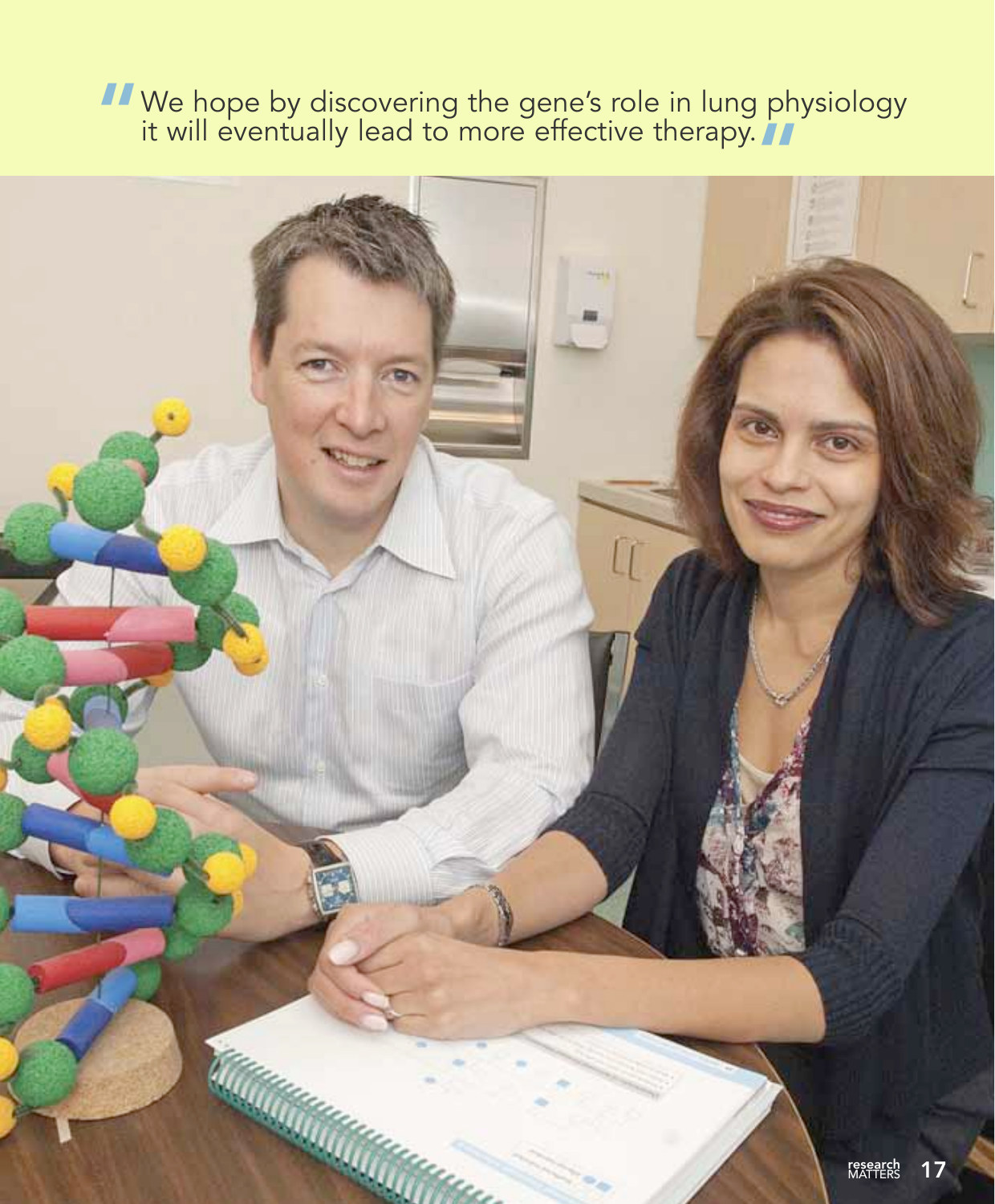We hope by discovering the gene's role in lung physiology "

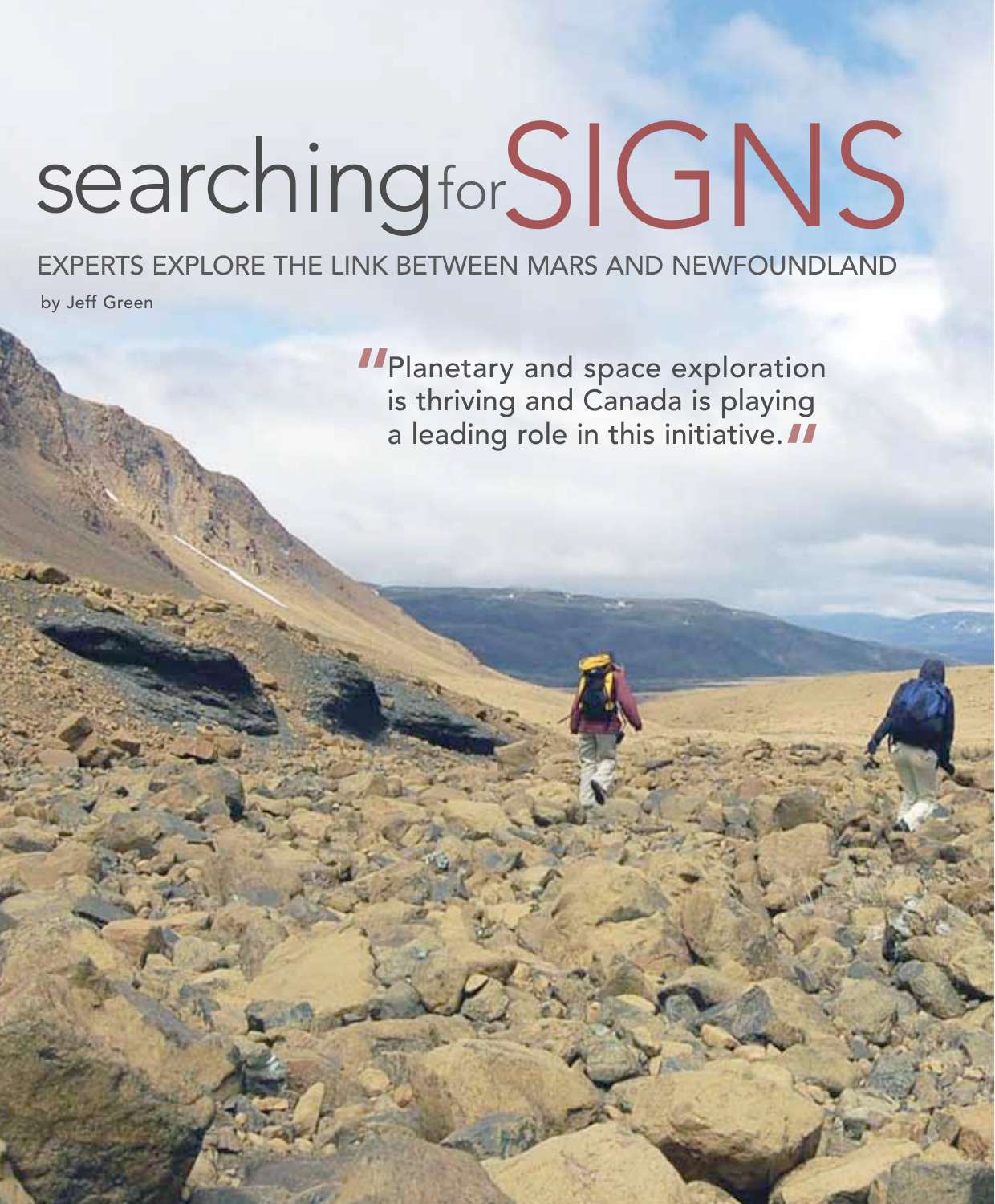### searching for SIGNS

EXPERTS EXPLORE THE LINK BETWEEN MARS AND NEWFOUNDLAND

by Jeff Green

Planetary and space exploration is thriving and Canada is playing a leading role in this initiative. |<br>|<br>|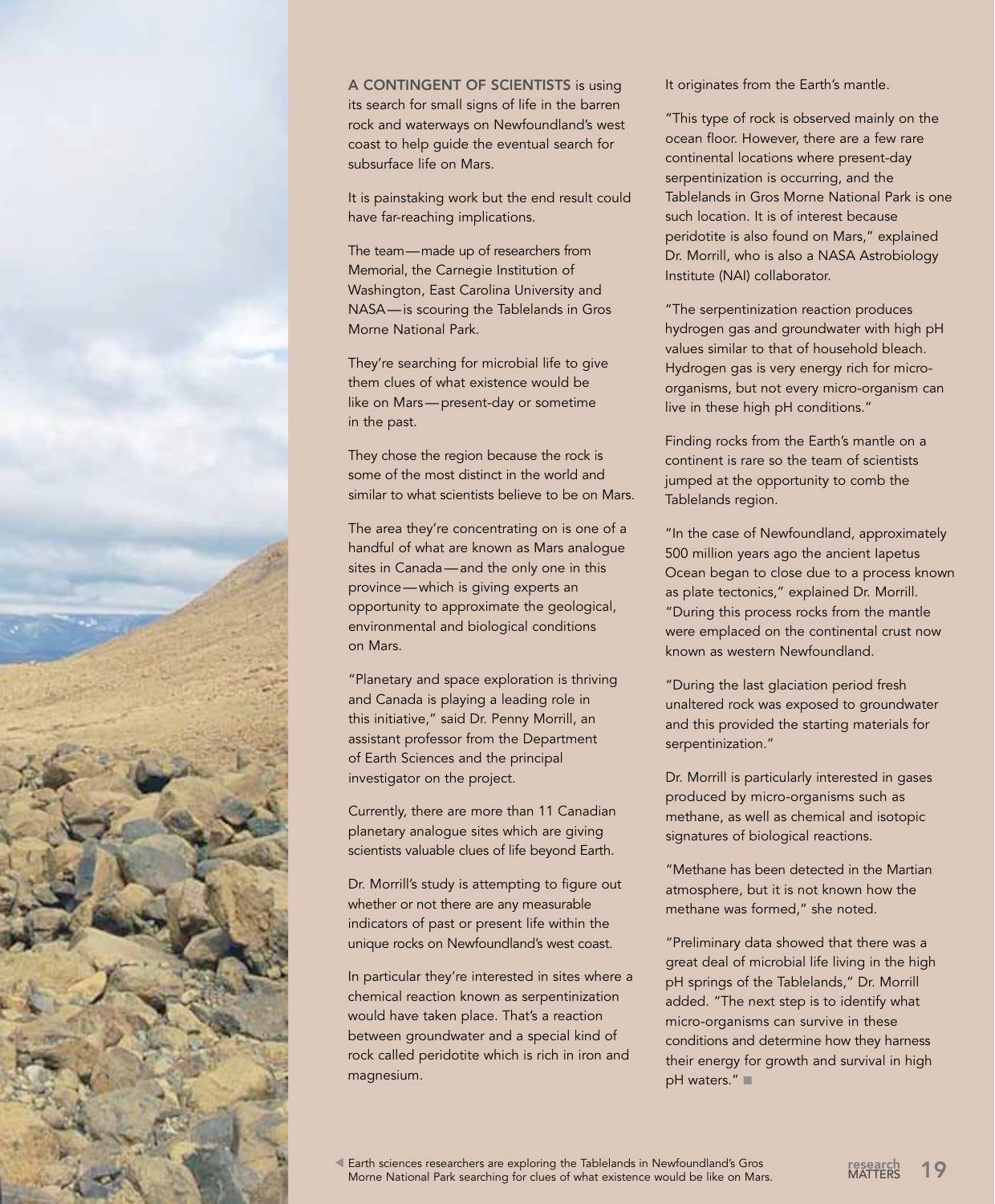

A CONTINGENT OF SCIENTISTS is using its search for small signs of life in the barren rock and waterways on Newfoundland's west coast to help guide the eventual search for subsurface life on Mars.

It is painstaking work but the end result could have far-reaching implications.

The team— made up of researchers from Memorial, the Carnegie Institution of Washington, East Carolina University and NASA — is scouring the Tablelands in Gros Morne National Park.

They're searching for microbial life to give them clues of what existence would be like on Mars— present-day or sometime in the past.

They chose the region because the rock is some of the most distinct in the world and similar to what scientists believe to be on Mars.

The area they're concentrating on is one of a handful of what are known as Mars analogue sites in Canada— and the only one in this province— which is giving experts an opportunity to approximate the geological, environmental and biological conditions on Mars.

"Planetary and space exploration is thriving and Canada is playing a leading role in this initiative," said Dr. Penny Morrill, an assistant professor from the Department of Earth Sciences and the principal investigator on the project.

Currently, there are more than 11 Canadian planetary analogue sites which are giving scientists valuable clues of life beyond Earth.

Dr. Morrill's study is attempting to figure out whether or not there are any measurable indicators of past or present life within the unique rocks on Newfoundland's west coast.

In particular they're interested in sites where a chemical reaction known as serpentinization would have taken place. That's a reaction between groundwater and a special kind of rock called peridotite which is rich in iron and magnesium.

It originates from the Earth's mantle.

"This type of rock is observed mainly on the ocean floor. However, there are a few rare continental locations where present-day serpentinization is occurring, and the Tablelands in Gros Morne National Park is one such location. It is of interest because peridotite is also found on Mars," explained Dr. Morrill, who is also a NASA Astrobiology Institute (NAI) collaborator.

"The serpentinization reaction produces hydrogen gas and groundwater with high pH values similar to that of household bleach. Hydrogen gas is very energy rich for microorganisms, but not every micro-organism can live in these high pH conditions."

Finding rocks from the Earth's mantle on a continent is rare so the team of scientists jumped at the opportunity to comb the Tablelands region.

"In the case of Newfoundland, approximately 500 million years ago the ancient Iapetus Ocean began to close due to a process known as plate tectonics," explained Dr. Morrill. "During this process rocks from the mantle were emplaced on the continental crust now known as western Newfoundland.

"During the last glaciation period fresh unaltered rock was exposed to groundwater and this provided the starting materials for serpentinization."

Dr. Morrill is particularly interested in gases produced by micro-organisms such as methane, as well as chemical and isotopic signatures of biological reactions.

"Methane has been detected in the Martian atmosphere, but it is not known how the methane was formed," she noted.

"Preliminary data showed that there was a great deal of microbial life living in the high pH springs of the Tablelands," Dr. Morrill added. "The next step is to identify what micro-organisms can survive in these conditions and determine how they harness their energy for growth and survival in high pH waters."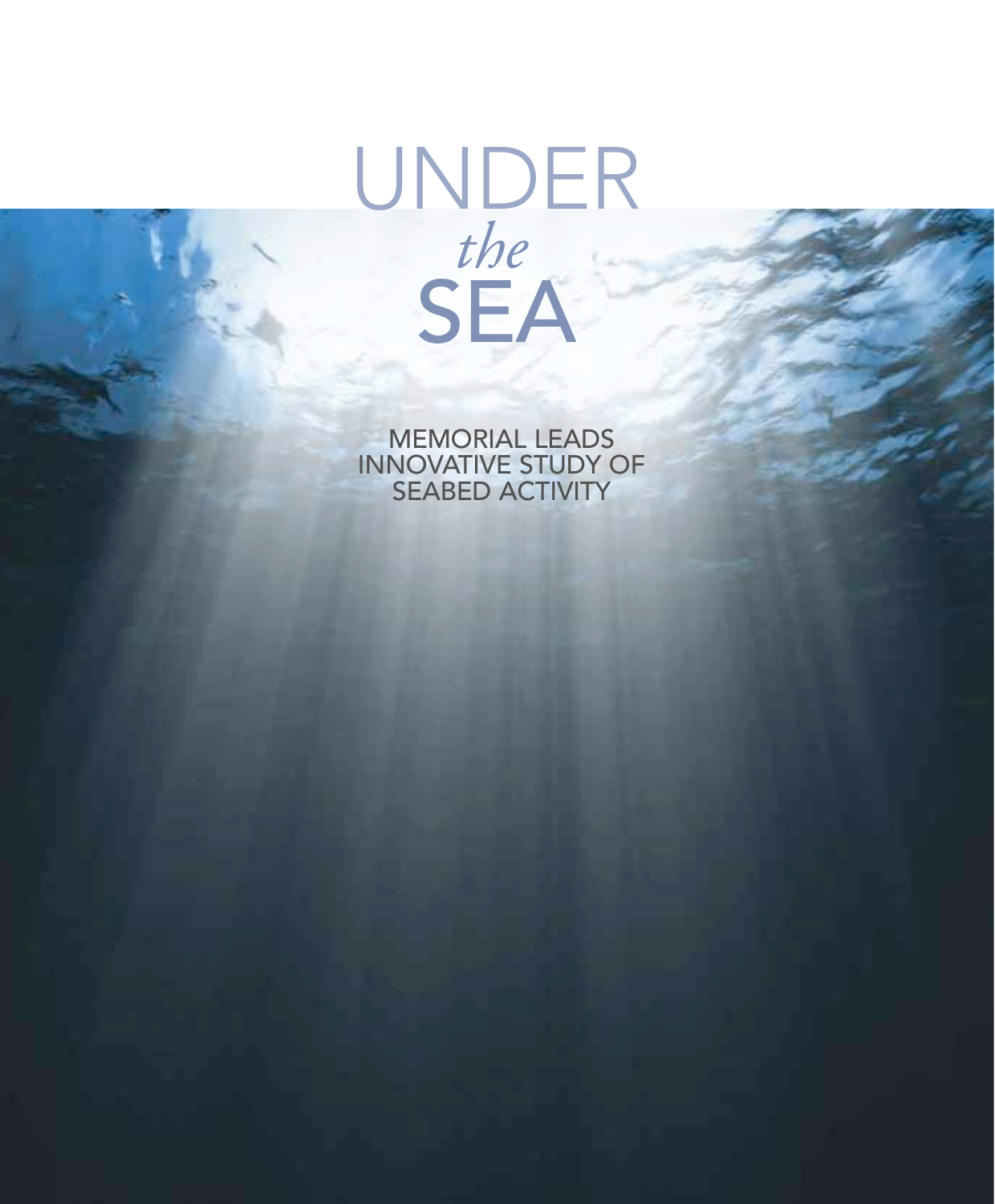## UNDER SEA *the*

MEMORIAL LEADS INNOVATIVE STUDY OF SEABED ACTIVITY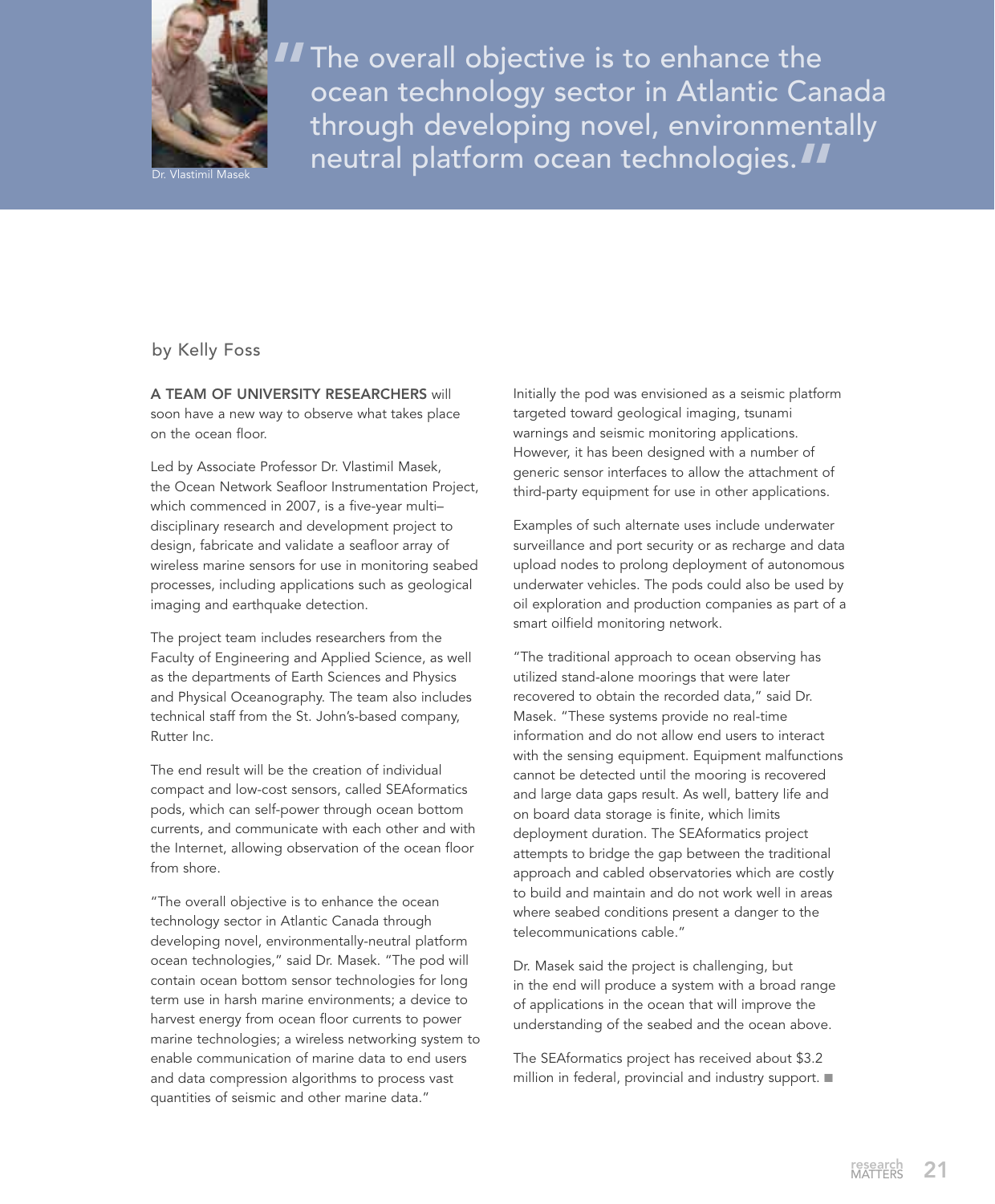

Dr. Vlastimil Masek

The overall objective is to enhance the ocean technology sector in Atlantic Canada through developing novel, environmentally neutral platform ocean technologies.  $II$ "

#### by Kelly Foss

A TEAM OF UNIVERSITY RESEARCHERS will soon have a new way to observe what takes place on the ocean floor.

Led by Associate Professor Dr. Vlastimil Masek, the Ocean Network Seafloor Instrumentation Project, which commenced in 2007, is a five-year multidisciplinary research and development project to design, fabricate and validate a seafloor array of wireless marine sensors for use in monitoring seabed processes, including applications such as geological imaging and earthquake detection.

The project team includes researchers from the Faculty of Engineering and Applied Science, as well as the departments of Earth Sciences and Physics and Physical Oceanography. The team also includes technical staff from the St. John's-based company, Rutter Inc.

The end result will be the creation of individual compact and low-cost sensors, called SEAformatics pods, which can self-power through ocean bottom currents, and communicate with each other and with the Internet, allowing observation of the ocean floor from shore.

"The overall objective is to enhance the ocean technology sector in Atlantic Canada through developing novel, environmentally-neutral platform ocean technologies," said Dr. Masek. "The pod will contain ocean bottom sensor technologies for long term use in harsh marine environments; a device to harvest energy from ocean floor currents to power marine technologies; a wireless networking system to enable communication of marine data to end users and data compression algorithms to process vast quantities of seismic and other marine data."

Initially the pod was envisioned as a seismic platform targeted toward geological imaging, tsunami warnings and seismic monitoring applications. However, it has been designed with a number of generic sensor interfaces to allow the attachment of third-party equipment for use in other applications.

Examples of such alternate uses include underwater surveillance and port security or as recharge and data upload nodes to prolong deployment of autonomous underwater vehicles. The pods could also be used by oil exploration and production companies as part of a smart oilfield monitoring network.

"The traditional approach to ocean observing has utilized stand-alone moorings that were later recovered to obtain the recorded data," said Dr. Masek. "These systems provide no real-time information and do not allow end users to interact with the sensing equipment. Equipment malfunctions cannot be detected until the mooring is recovered and large data gaps result. As well, battery life and on board data storage is finite, which limits deployment duration. The SEAformatics project attempts to bridge the gap between the traditional approach and cabled observatories which are costly to build and maintain and do not work well in areas where seabed conditions present a danger to the telecommunications cable."

Dr. Masek said the project is challenging, but in the end will produce a system with a broad range of applications in the ocean that will improve the understanding of the seabed and the ocean above.

The SEAformatics project has received about \$3.2 million in federal, provincial and industry support. ■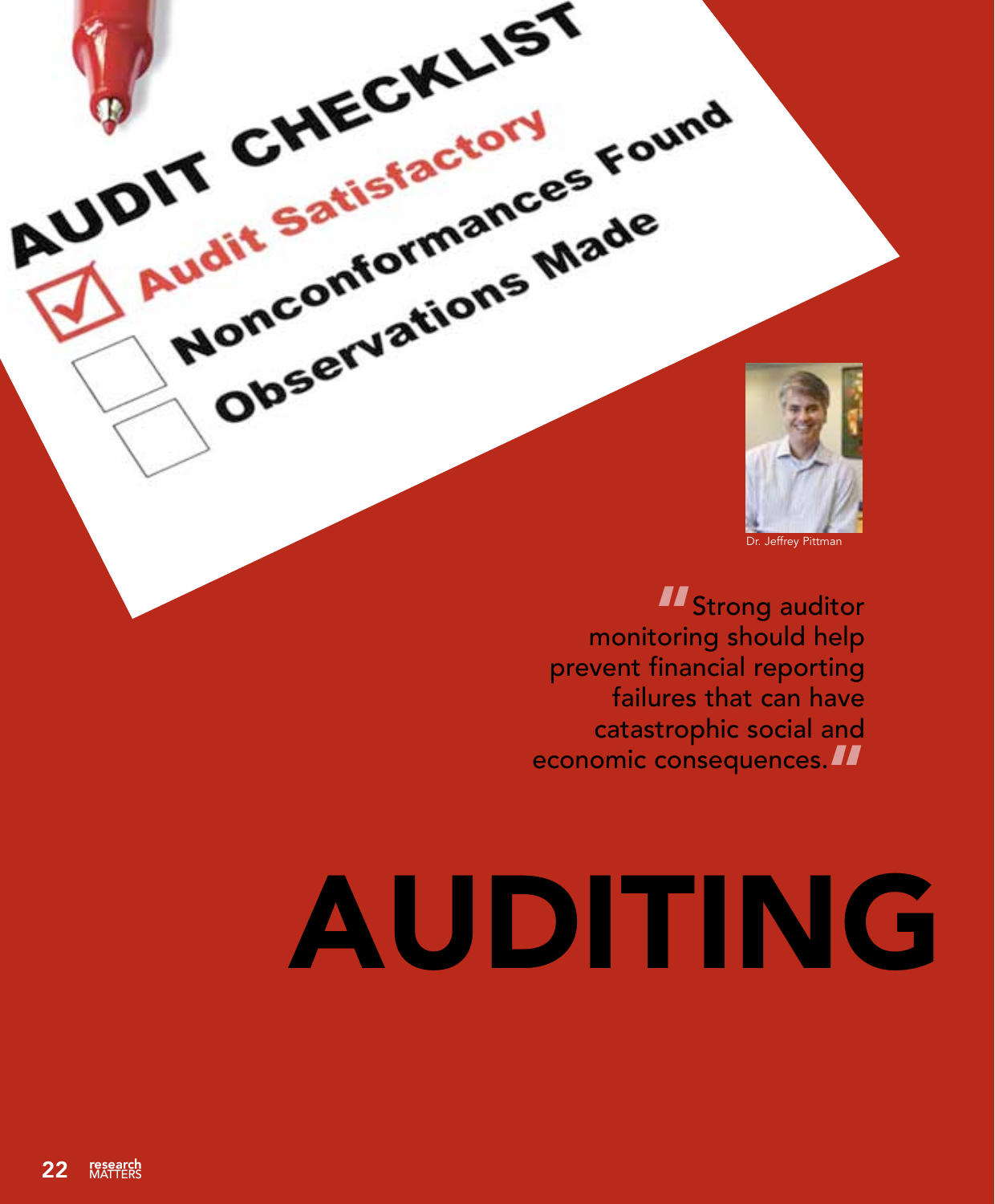

II Strong auditor monitoring should help prevent financial reporting failures that can have catastrophic social and economic consequences. II

# AUDITING

AUDIT CHECKLIST

Audit Satisfactory

dit Satistanances<br>Joncomformances<br>Observations Made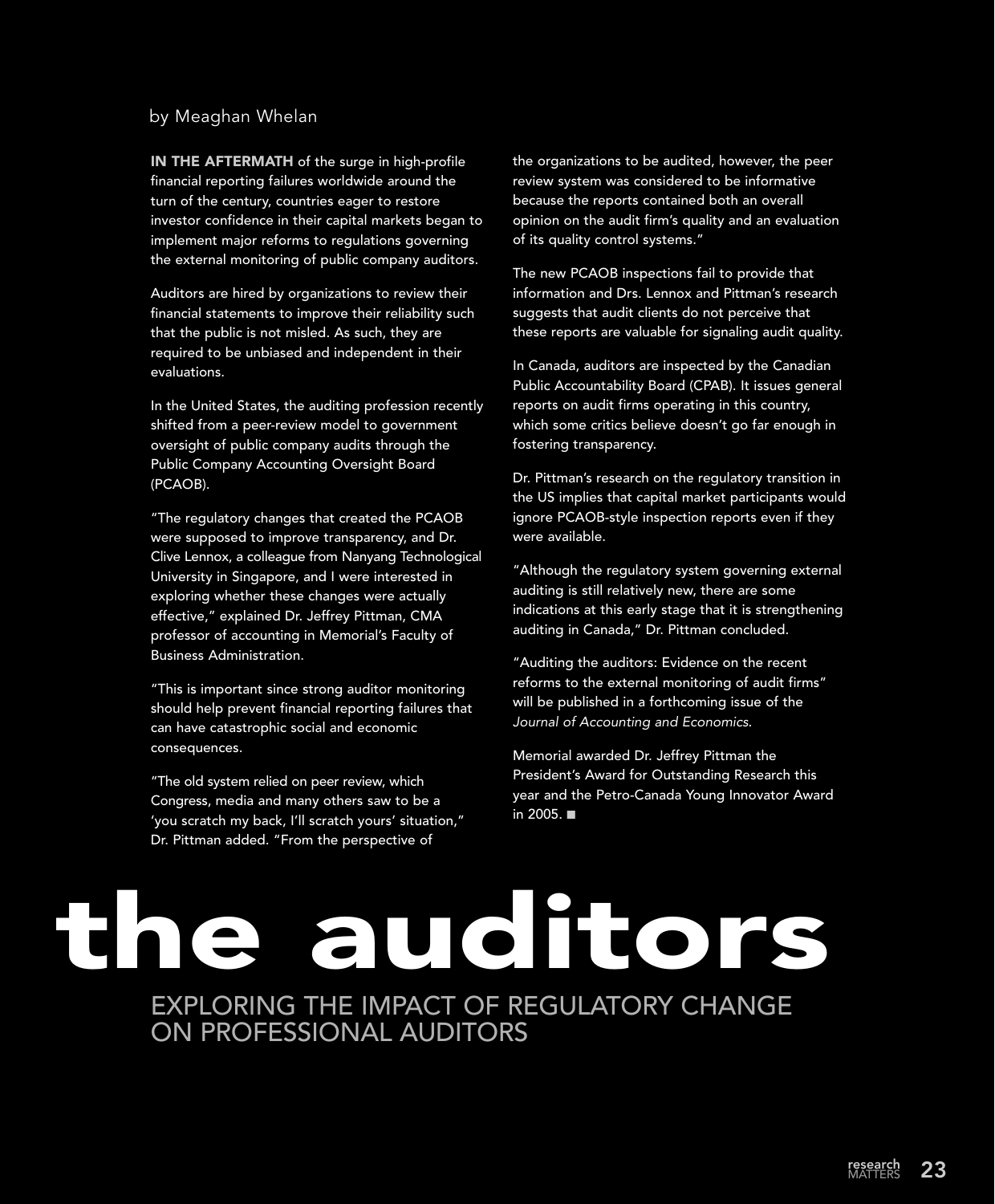#### by Meaghan Whelan

IN THE AFTERMATH of the surge in high-profile financial reporting failures worldwide around the turn of the century, countries eager to restore investor confidence in their capital markets began to implement major reforms to regulations governing the external monitoring of public company auditors.

Auditors are hired by organizations to review their financial statements to improve their reliability such that the public is not misled. As such, they are required to be unbiased and independent in their evaluations.

In the United States, the auditing profession recently shifted from a peer-review model to government oversight of public company audits through the Public Company Accounting Oversight Board (PCAOB).

"The regulatory changes that created the PCAOB were supposed to improve transparency, and Dr. Clive Lennox, a colleague from Nanyang Technological University in Singapore, and I were interested in exploring whether these changes were actually effective," explained Dr. Jeffrey Pittman, CMA professor of accounting in Memorial's Faculty of Business Administration.

"This is important since strong auditor monitoring should help prevent financial reporting failures that can have catastrophic social and economic consequences.

"The old system relied on peer review, which Congress, media and many others saw to be a 'you scratch my back, I'll scratch yours' situation," Dr. Pittman added. "From the perspective of

the organizations to be audited, however, the peer review system was considered to be informative because the reports contained both an overall opinion on the audit firm's quality and an evaluation of its quality control systems."

The new PCAOB inspections fail to provide that information and Drs. Lennox and Pittman's research suggests that audit clients do not perceive that these reports are valuable for signaling audit quality.

In Canada, auditors are inspected by the Canadian Public Accountability Board (CPAB). It issues general reports on audit firms operating in this country, which some critics believe doesn't go far enough in fostering transparency.

Dr. Pittman's research on the regulatory transition in the US implies that capital market participants would ignore PCAOB-style inspection reports even if they were available.

"Although the regulatory system governing external auditing is still relatively new, there are some indications at this early stage that it is strengthening auditing in Canada," Dr. Pittman concluded.

"Auditing the auditors: Evidence on the recent reforms to the external monitoring of audit firms" will be published in a forthcoming issue of the Journal of Accounting and Economics.

Memorial awarded Dr. Jeffrey Pittman the President's Award for Outstanding Research this year and the Petro-Canada Young Innovator Award in 2005. ■

### EXPLORING THE IMPACT OF REGULATORY CHANGE ON PROFESSIONAL AUDITORS the auditors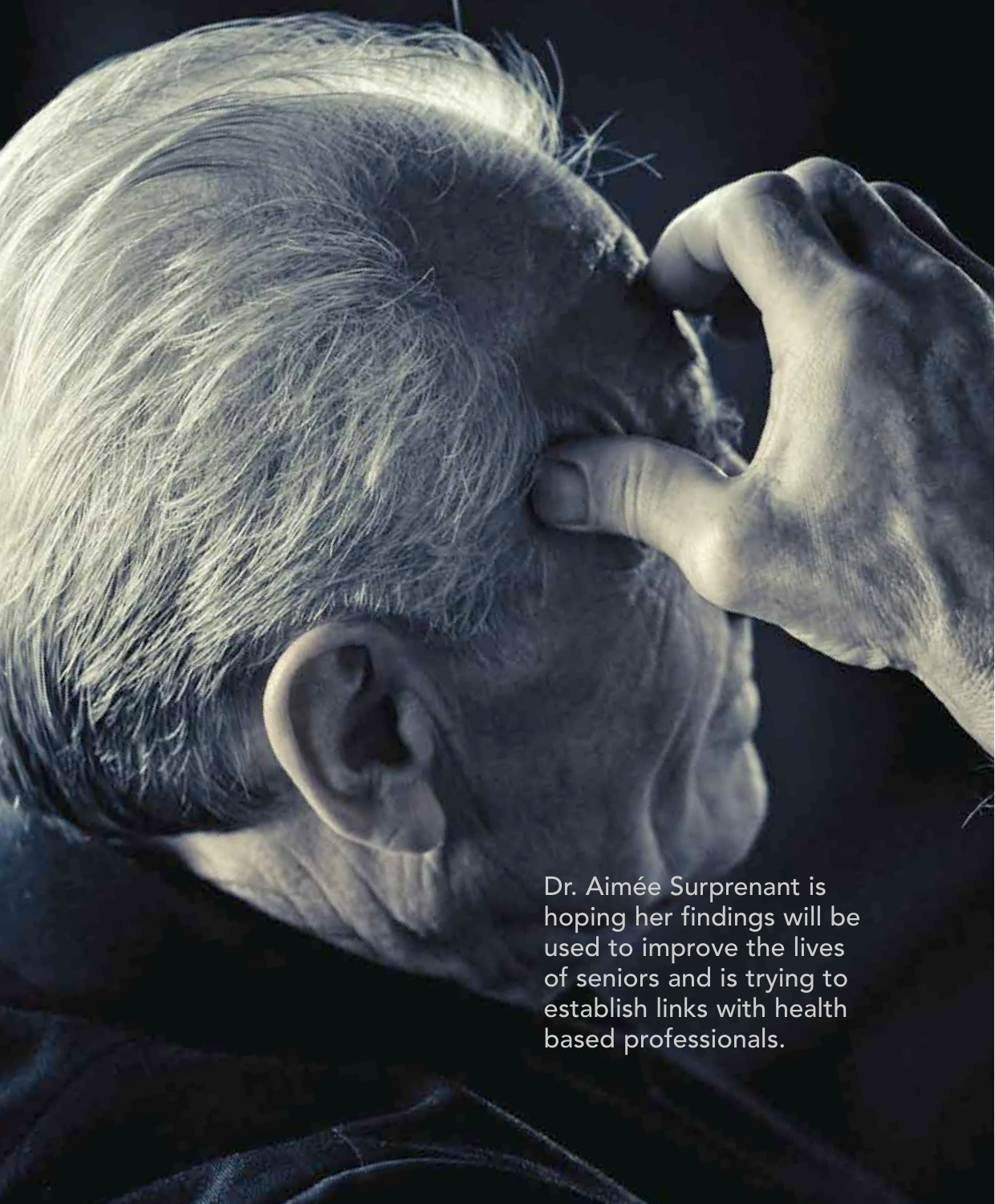Dr. Aimée Surprenant is hoping her findings will be used to improve the lives of seniors and is trying to establish links with health based professionals.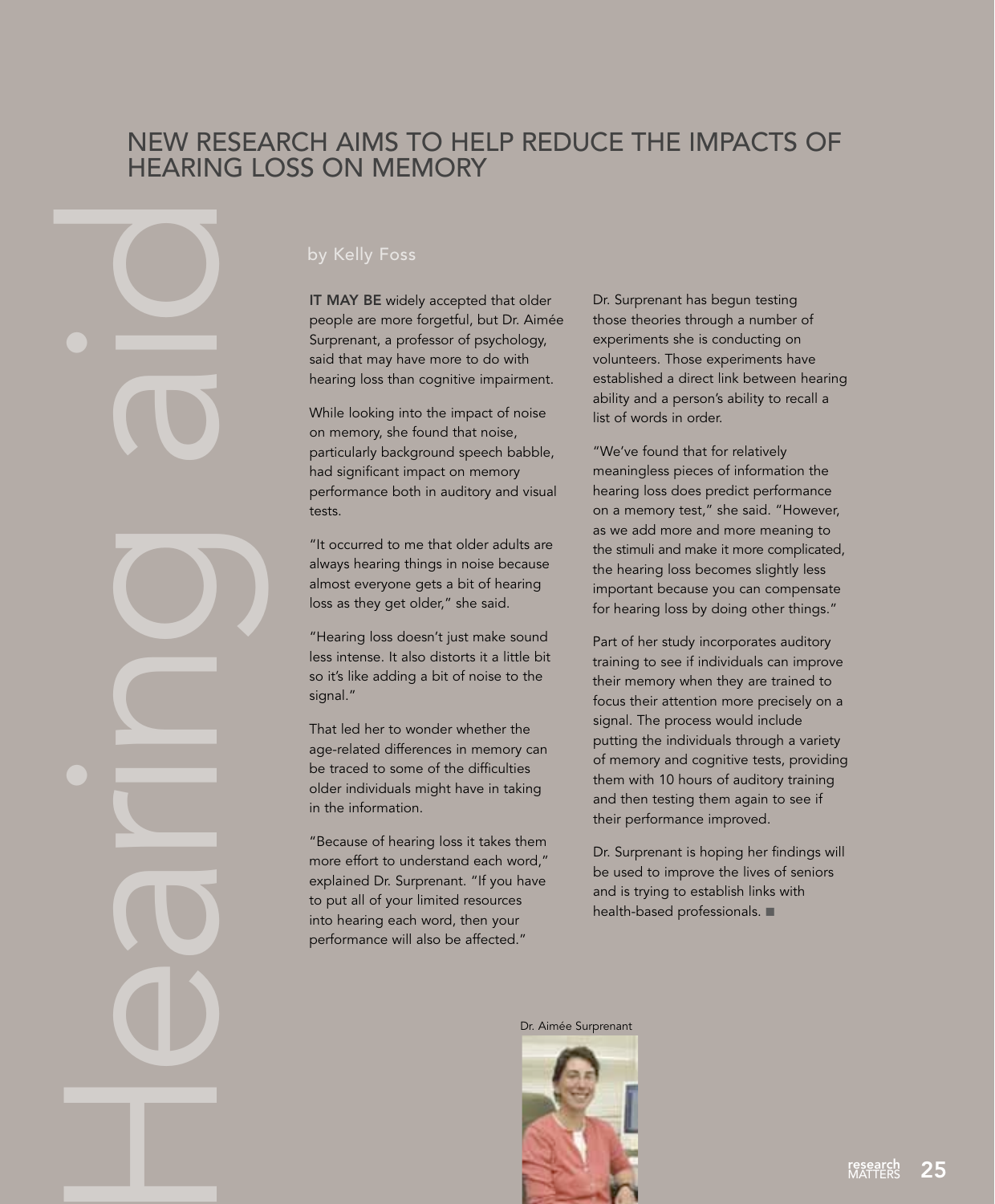### NEW RESEARCH AIMS TO HELP REDUCE THE IMPACTS OF HEARING LOSS ON MEMORY

IT MAY BE widely accepted that older people are more forgetful, but Dr. Aimée Surprenant, a professor of psychology, said that may have more to do with hearing loss than cognitive impairment.

While looking into the impact of noise on memory, she found that noise, particularly background speech babble, had significant impact on memory performance both in auditory and visual tests.

"It occurred to me that older adults are always hearing things in noise because almost everyone gets a bit of hearing loss as they get older," she said.

"Hearing loss doesn't just make sound less intense. It also distorts it a little bit so it's like adding a bit of noise to the signal."

Hearing aid

That led her to wonder whether the age-related differences in memory can be traced to some of the difficulties older individuals might have in taking in the information.

"Because of hearing loss it takes them more effort to understand each word," explained Dr. Surprenant. "If you have to put all of your limited resources into hearing each word, then your performance will also be affected."

Dr. Surprenant has begun testing those theories through a number of experiments she is conducting on volunteers. Those experiments have established a direct link between hearing ability and a person's ability to recall a list of words in order.

"We've found that for relatively meaningless pieces of information the hearing loss does predict performance on a memory test," she said. "However, as we add more and more meaning to the stimuli and make it more complicated, the hearing loss becomes slightly less important because you can compensate for hearing loss by doing other things."

Part of her study incorporates auditory training to see if individuals can improve their memory when they are trained to focus their attention more precisely on a signal. The process would include putting the individuals through a variety of memory and cognitive tests, providing them with 10 hours of auditory training and then testing them again to see if their performance improved.

Dr. Surprenant is hoping her findings will be used to improve the lives of seniors and is trying to establish links with health-based professionals. ■

Dr. Aimée Surprenant

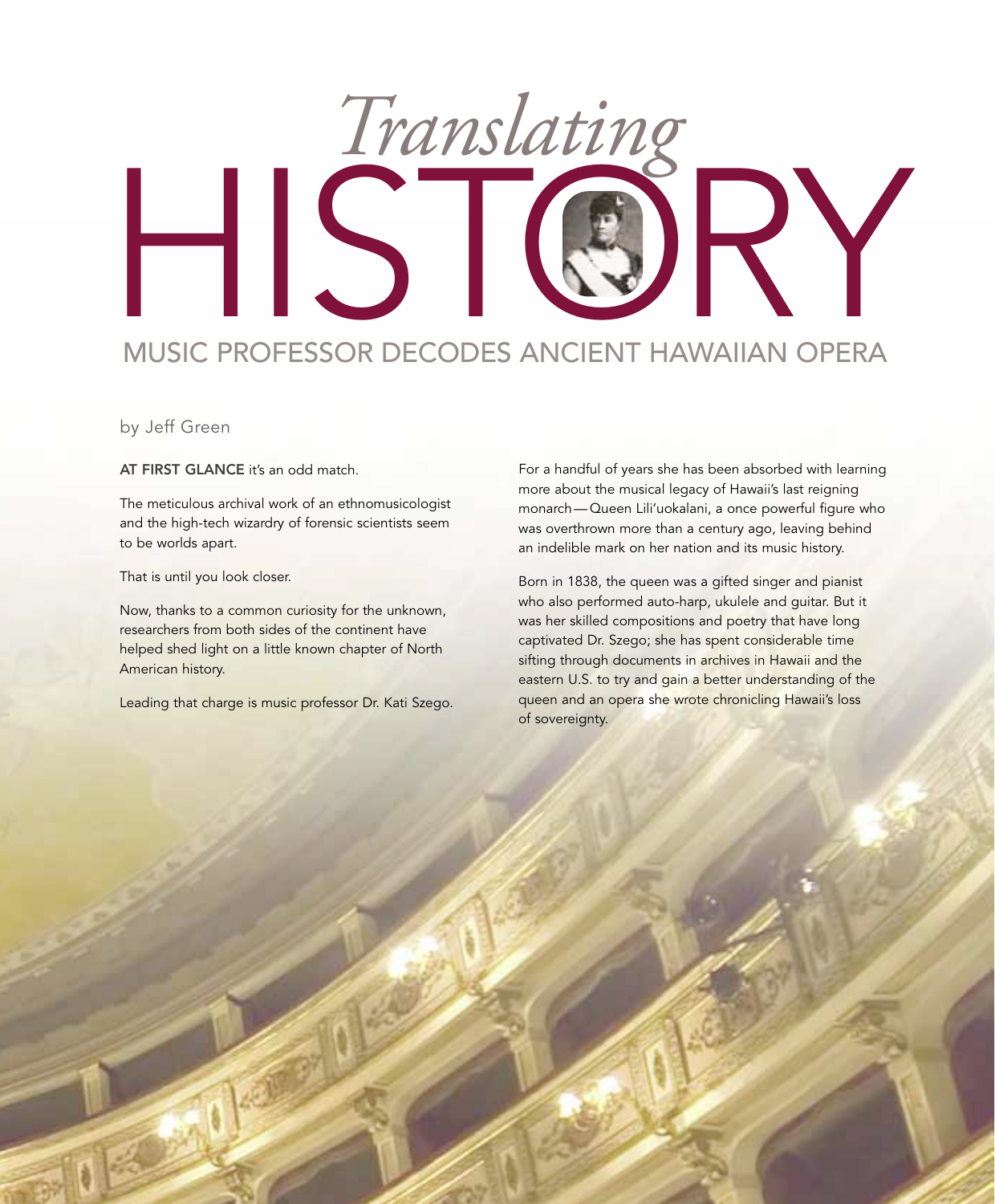# MUSIC PROFESSOR DECODES ANCIENT HAWAIIAN OPERA MUSIC PROFESSOR DECODES ANCIENT HAWAIIAN OPERA *Translating*

by Jeff Green

AT FIRST GLANCE it's an odd match.

The meticulous archival work of an ethnomusicologist and the high-tech wizardry of forensic scientists seem to be worlds apart.

That is until you look closer.

Now, thanks to a common curiosity for the unknown, researchers from both sides of the continent have helped shed light on a little known chapter of North American history.

Leading that charge is music professor Dr. Kati Szego.

For a handful of years she has been absorbed with learning more about the musical legacy of Hawaii's last reigning monarch — Queen Lili'uokalani, a once powerful figure who was overthrown more than a century ago, leaving behind an indelible mark on her nation and its music history.

Born in 1838, the queen was a gifted singer and pianist who also performed auto-harp, ukulele and guitar. But it was her skilled compositions and poetry that have long captivated Dr. Szego; she has spent considerable time sifting through documents in archives in Hawaii and the eastern U.S. to try and gain a better understanding of the queen and an opera she wrote chronicling Hawaii's loss of sovereignty.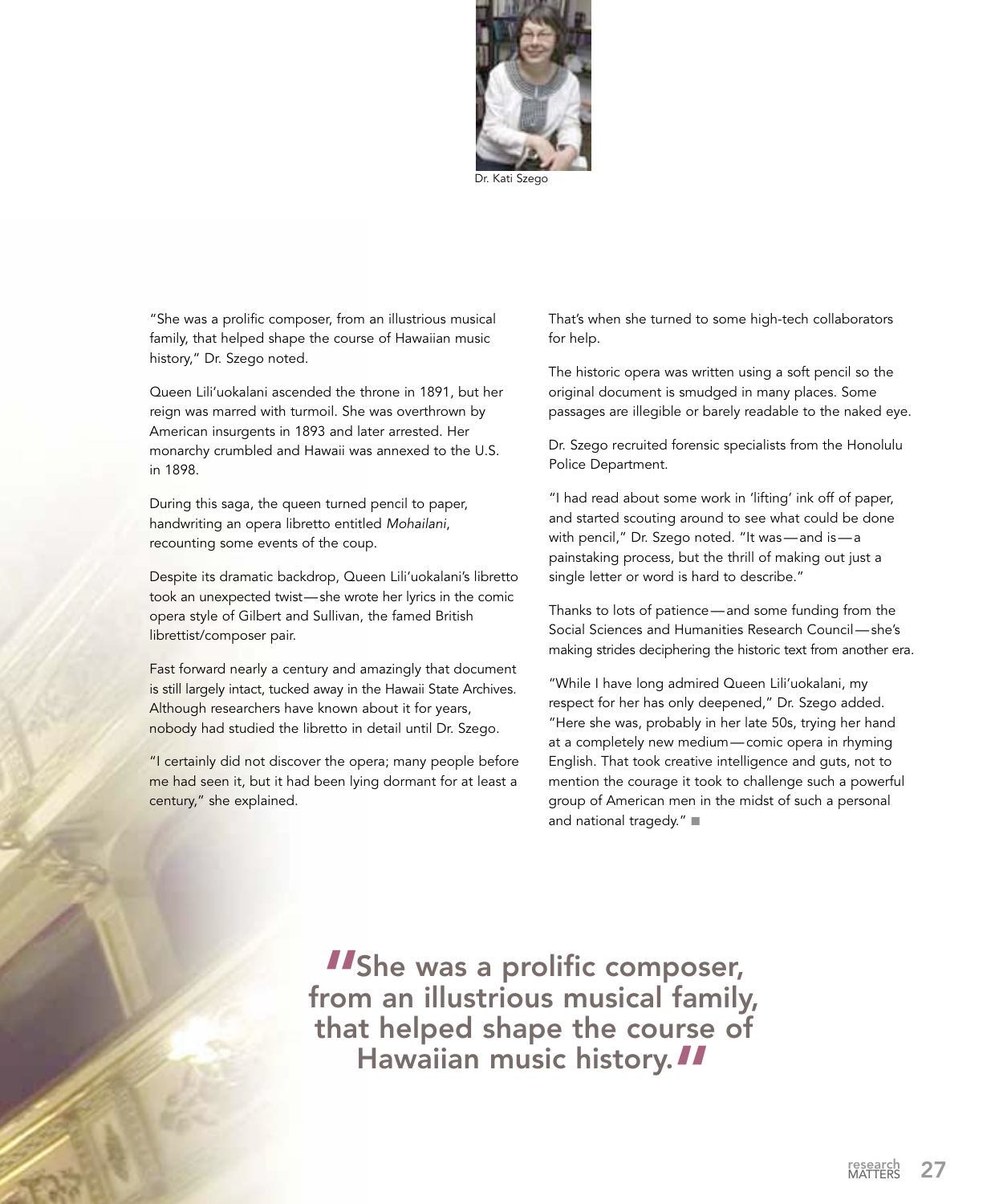

Dr. Kati Szego

"She was a prolific composer, from an illustrious musical family, that helped shape the course of Hawaiian music history," Dr. Szego noted.

Queen Lili'uokalani ascended the throne in 1891, but her reign was marred with turmoil. She was overthrown by American insurgents in 1893 and later arrested. Her monarchy crumbled and Hawaii was annexed to the U.S. in 1898.

During this saga, the queen turned pencil to paper, handwriting an opera libretto entitled Mohailani, recounting some events of the coup.

Despite its dramatic backdrop, Queen Lili'uokalani's libretto took an unexpected twist— she wrote her lyrics in the comic opera style of Gilbert and Sullivan, the famed British librettist/composer pair.

Fast forward nearly a century and amazingly that document is still largely intact, tucked away in the Hawaii State Archives. Although researchers have known about it for years, nobody had studied the libretto in detail until Dr. Szego.

"I certainly did not discover the opera; many people before me had seen it, but it had been lying dormant for at least a century," she explained.

That's when she turned to some high-tech collaborators for help.

The historic opera was written using a soft pencil so the original document is smudged in many places. Some passages are illegible or barely readable to the naked eye.

Dr. Szego recruited forensic specialists from the Honolulu Police Department.

"I had read about some work in 'lifting' ink off of paper, and started scouting around to see what could be done with pencil," Dr. Szego noted. "It was - and is - a painstaking process, but the thrill of making out just a single letter or word is hard to describe."

Thanks to lots of patience— and some funding from the Social Sciences and Humanities Research Council— she's making strides deciphering the historic text from another era.

"While I have long admired Queen Lili'uokalani, my respect for her has only deepened," Dr. Szego added. "Here she was, probably in her late 50s, trying her hand at a completely new medium— comic opera in rhyming English. That took creative intelligence and guts, not to mention the courage it took to challenge such a powerful group of American men in the midst of such a personal and national tragedy." ■

IIShe was a prolific composer, from an illustrious musical family, that helped shape the course of Hawaiian music history.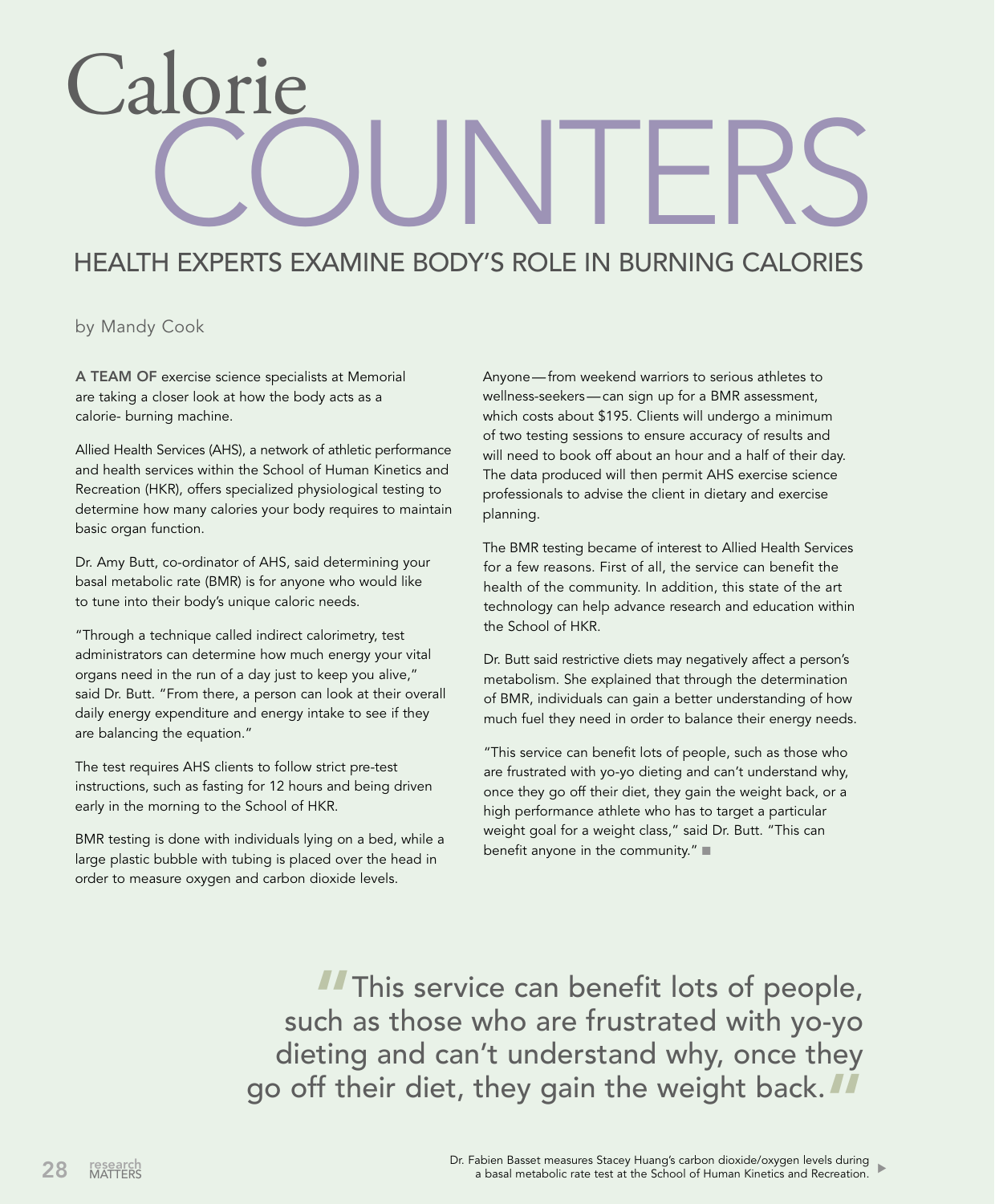# COUNTERS Calorie

### HEALTH EXPERTS EXAMINE BODY'S ROLE IN BURNING CALORIES

#### by Mandy Cook

A TEAM OF exercise science specialists at Memorial are taking a closer look at how the body acts as a calorie- burning machine.

Allied Health Services (AHS), a network of athletic performance and health services within the School of Human Kinetics and Recreation (HKR), offers specialized physiological testing to determine how many calories your body requires to maintain basic organ function.

Dr. Amy Butt, co-ordinator of AHS, said determining your basal metabolic rate (BMR) is for anyone who would like to tune into their body's unique caloric needs.

"Through a technique called indirect calorimetry, test administrators can determine how much energy your vital organs need in the run of a day just to keep you alive," said Dr. Butt. "From there, a person can look at their overall daily energy expenditure and energy intake to see if they are balancing the equation."

The test requires AHS clients to follow strict pre-test instructions, such as fasting for 12 hours and being driven early in the morning to the School of HKR.

BMR testing is done with individuals lying on a bed, while a large plastic bubble with tubing is placed over the head in order to measure oxygen and carbon dioxide levels.

Anyone— from weekend warriors to serious athletes to wellness-seekers— can sign up for a BMR assessment, which costs about \$195. Clients will undergo a minimum of two testing sessions to ensure accuracy of results and will need to book off about an hour and a half of their day. The data produced will then permit AHS exercise science professionals to advise the client in dietary and exercise planning.

The BMR testing became of interest to Allied Health Services for a few reasons. First of all, the service can benefit the health of the community. In addition, this state of the art technology can help advance research and education within the School of HKR.

Dr. Butt said restrictive diets may negatively affect a person's metabolism. She explained that through the determination of BMR, individuals can gain a better understanding of how much fuel they need in order to balance their energy needs.

"This service can benefit lots of people, such as those who are frustrated with yo-yo dieting and can't understand why, once they go off their diet, they gain the weight back, or a high performance athlete who has to target a particular weight goal for a weight class," said Dr. Butt. "This can benefit anyone in the community." ■

This service can benefit lots of people, such as those who are frustrated with yo-yo dieting and can't understand why, once they go off their diet, they gain the weight back.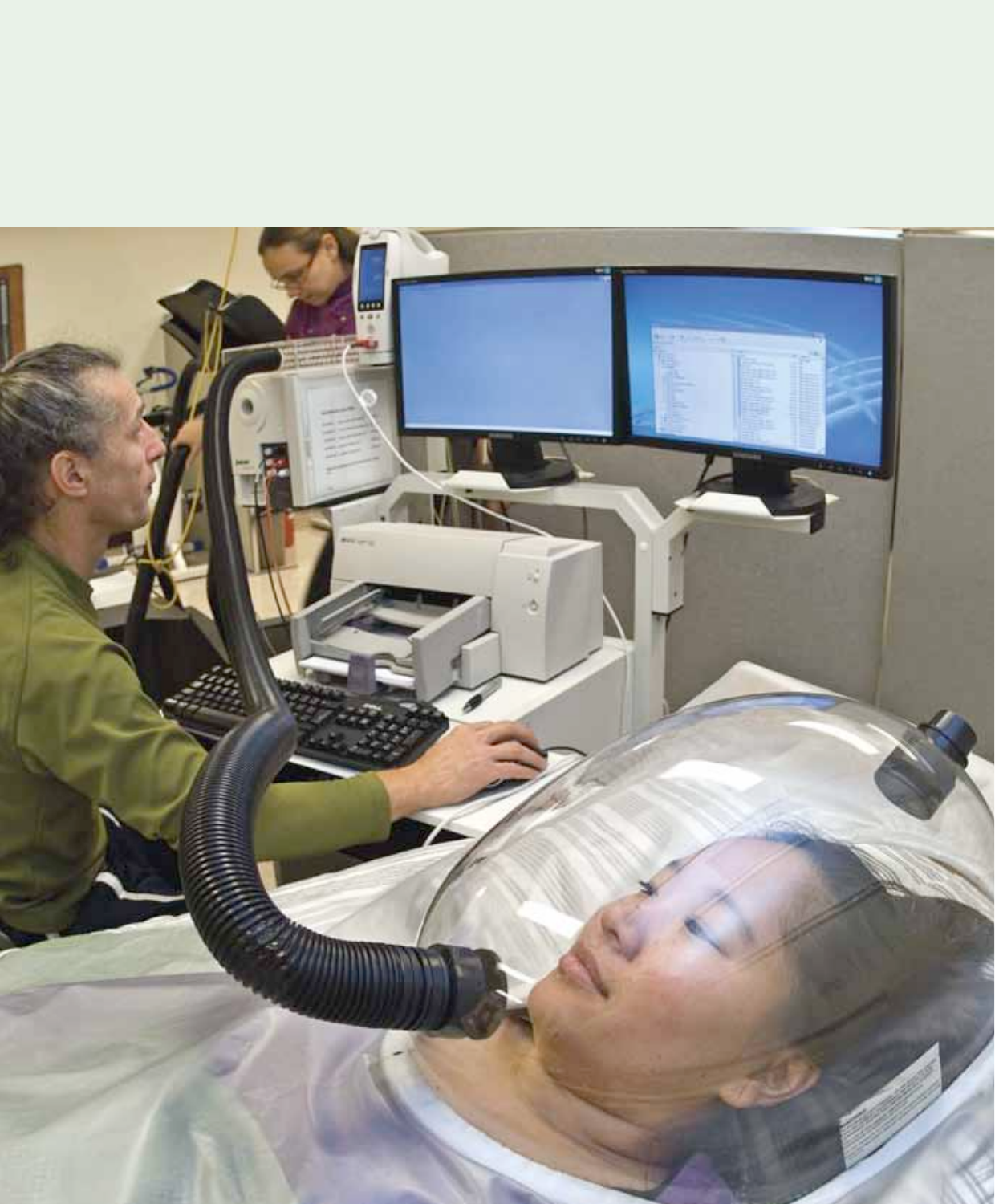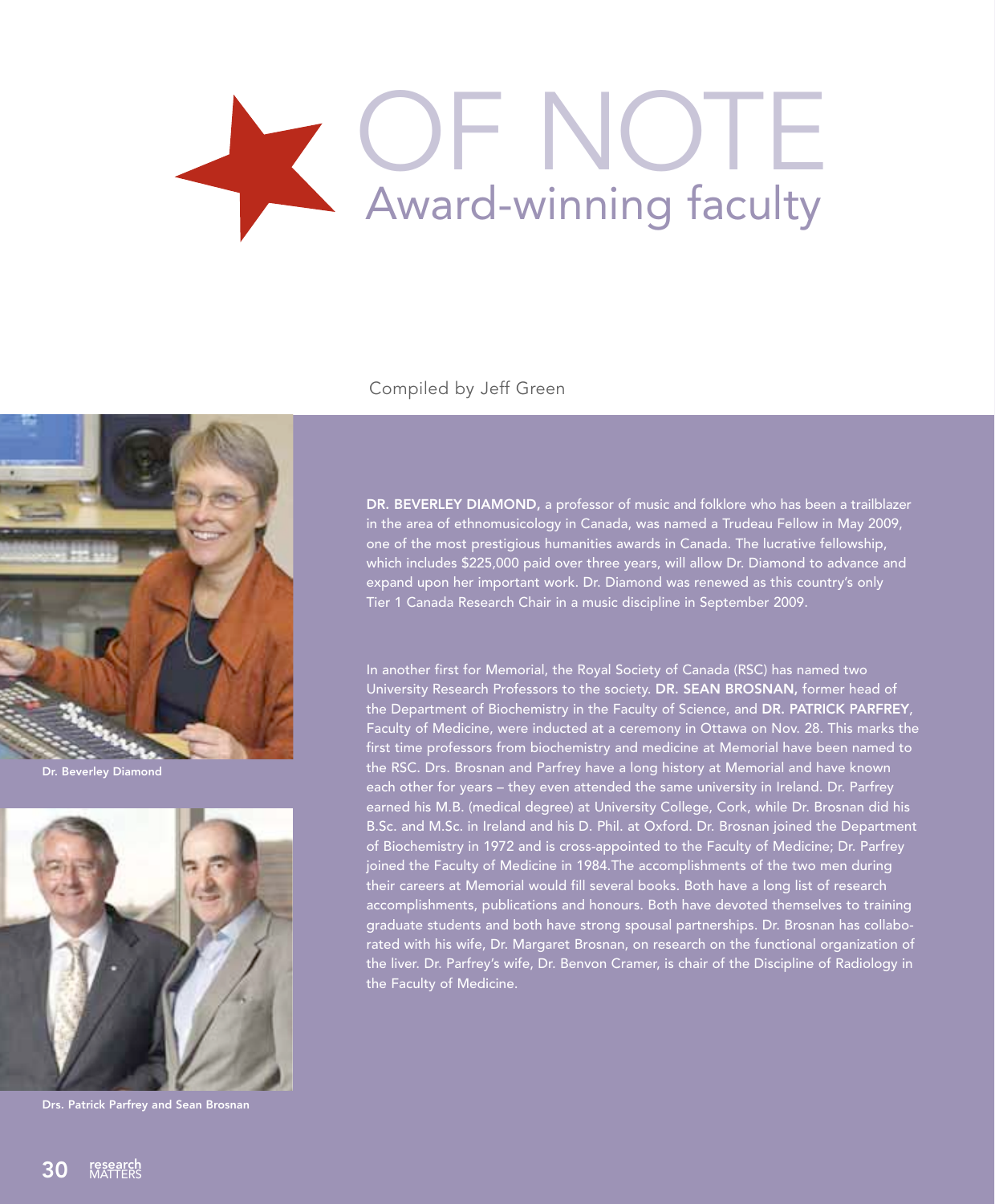## OF NOTE Award-winning faculty





Dr. Beverley Diamond



Drs. Patrick Parfrey and Sean Brosnan

DR. BEVERLEY DIAMOND, a professor of music and folklore who has been a trailblazer in the area of ethnomusicology in Canada, was named a Trudeau Fellow in May 2009, one of the most prestigious humanities awards in Canada. The lucrative fellowship, which includes \$225,000 paid over three years, will allow Dr. Diamond to advance and expand upon her important work. Dr. Diamond was renewed as this country's only Tier 1 Canada Research Chair in a music discipline in September 2009.

In another first for Memorial, the Royal Society of Canada (RSC) has named two University Research Professors to the society. DR. SEAN BROSNAN, former head of the Department of Biochemistry in the Faculty of Science, and DR. PATRICK PARFREY, Faculty of Medicine, were inducted at a ceremony in Ottawa on Nov. 28. This marks the first time professors from biochemistry and medicine at Memorial have been named to the RSC. Drs. Brosnan and Parfrey have a long history at Memorial and have known each other for years – they even attended the same university in Ireland. Dr. Parfrey earned his M.B. (medical degree) at University College, Cork, while Dr. Brosnan did his B.Sc. and M.Sc. in Ireland and his D. Phil. at Oxford. Dr. Brosnan joined the Department of Biochemistry in 1972 and is cross-appointed to the Faculty of Medicine; Dr. Parfrey joined the Faculty of Medicine in 1984.The accomplishments of the two men during their careers at Memorial would fill several books. Both have a long list of research accomplishments, publications and honours. Both have devoted themselves to training graduate students and both have strong spousal partnerships. Dr. Brosnan has collaborated with his wife, Dr. Margaret Brosnan, on research on the functional organization of the liver. Dr. Parfrey's wife, Dr. Benvon Cramer, is chair of the Discipline of Radiology in the Faculty of Medicine.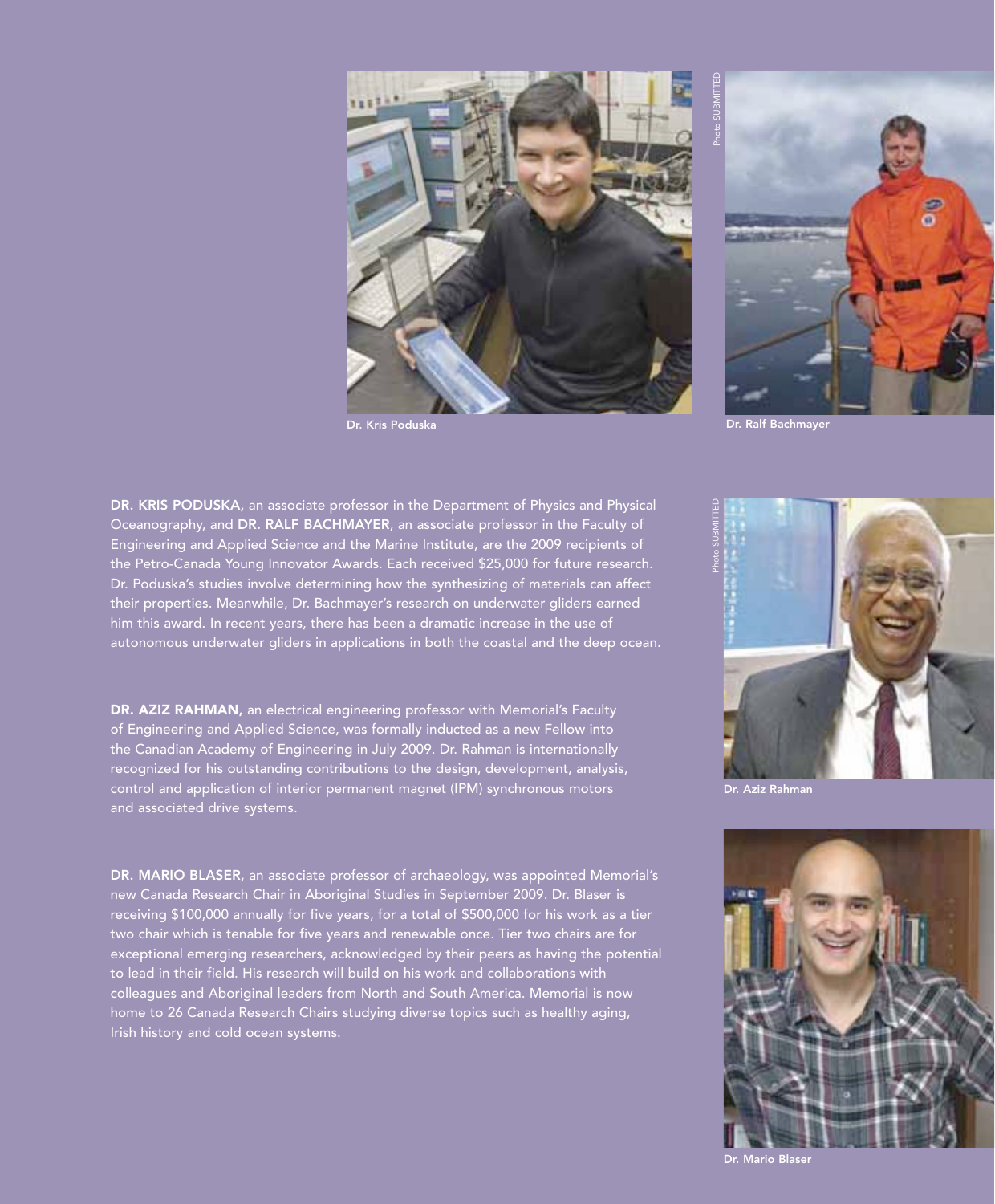



DR. KRIS PODUSKA, an associate professor in the Department of Physics and Physical Oceanography, and DR. RALF BACHMAYER, an associate professor in the Faculty of Engineering and Applied Science and the Marine Institute, are the 2009 recipients of the Petro-Canada Young Innovator Awards. Each received \$25,000 for future research. Dr. Poduska's studies involve determining how the synthesizing of materials can affect their properties. Meanwhile, Dr. Bachmayer's research on underwater gliders earned him this award. In recent years, there has been a dramatic increase in the use of autonomous underwater gliders in applications in both the coastal and the deep ocean.

DR. AZIZ RAHMAN, an electrical engineering professor with Memorial's Faculty of Engineering and Applied Science, was formally inducted as a new Fellow into the Canadian Academy of Engineering in July 2009. Dr. Rahman is internationally recognized for his outstanding contributions to the design, development, analysis, control and application of interior permanent magnet (IPM) synchronous motors and associated drive systems.

DR. MARIO BLASER, an associate professor of archaeology, was appointed Memorial's new Canada Research Chair in Aboriginal Studies in September 2009. Dr. Blaser is receiving \$100,000 annually for five years, for a total of \$500,000 for his work as a tier two chair which is tenable for five years and renewable once. Tier two chairs are for exceptional emerging researchers, acknowledged by their peers as having the potential to lead in their field. His research will build on his work and collaborations with colleagues and Aboriginal leaders from North and South America. Memorial is now home to 26 Canada Research Chairs studying diverse topics such as healthy aging, Irish history and cold ocean systems.



Dr. Aziz Rahman



Dr. Mario Blaser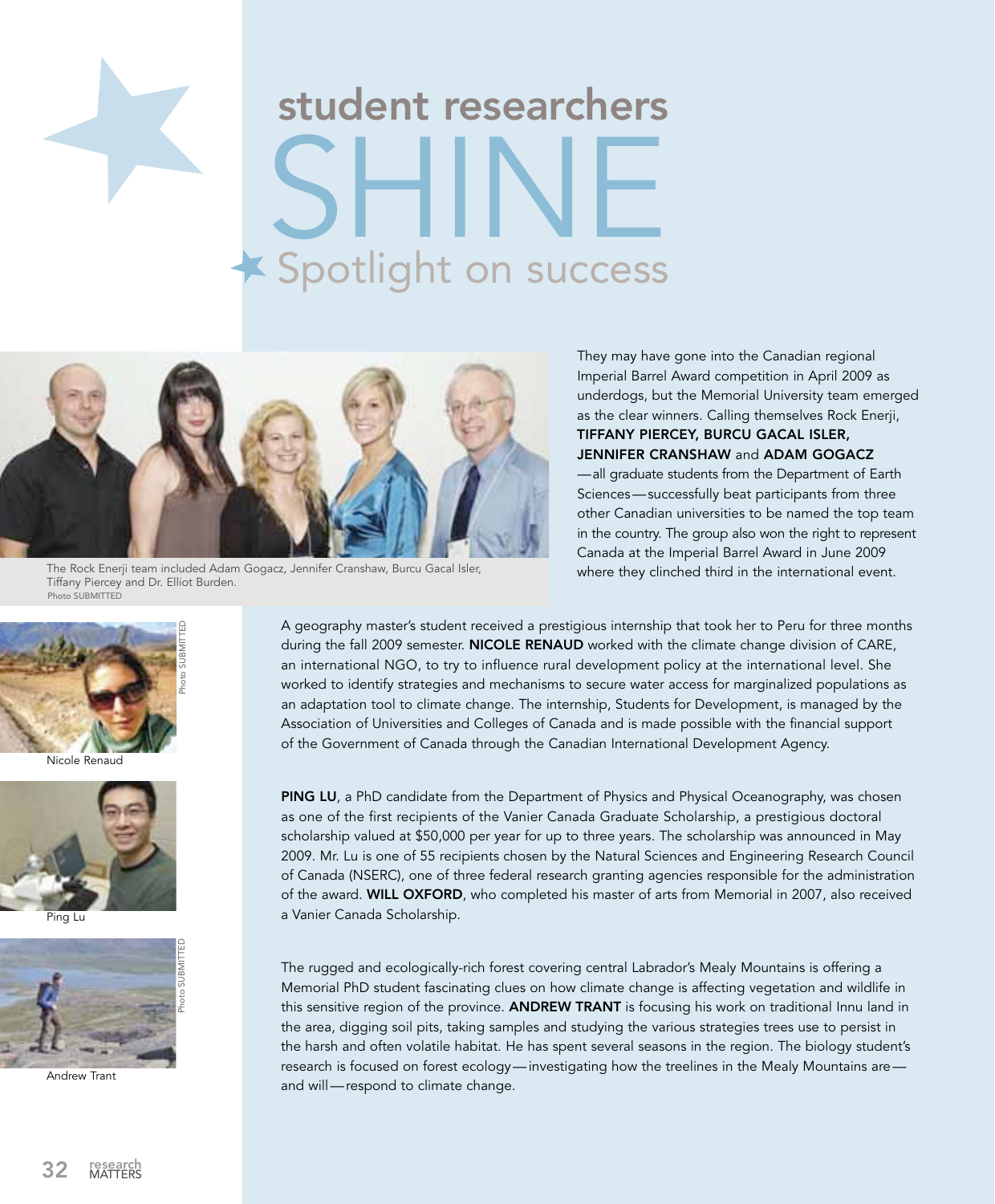### student researchers SHINE Spotlight on success



The Rock Enerji team included Adam Gogacz, Jennifer Cranshaw, Burcu Gacal Isler, Tiffany Piercey and Dr. Elliot Burden. Photo SUBMITTED

Photo SUBMITTED Nicole Renaud







Andrew Trant

A geography master's student received a prestigious internship that took her to Peru for three months during the fall 2009 semester. **NICOLE RENAUD** worked with the climate change division of CARE, an international NGO, to try to influence rural development policy at the international level. She worked to identify strategies and mechanisms to secure water access for marginalized populations as an adaptation tool to climate change. The internship, Students for Development, is managed by the Association of Universities and Colleges of Canada and is made possible with the financial support of the Government of Canada through the Canadian International Development Agency.

They may have gone into the Canadian regional Imperial Barrel Award competition in April 2009 as underdogs, but the Memorial University team emerged as the clear winners. Calling themselves Rock Enerji,

TIFFANY PIERCEY, BURCU GACAL ISLER, JENNIFER CRANSHAW and ADAM GOGACZ — all graduate students from the Department of Earth Sciences—successfully beat participants from three other Canadian universities to be named the top team in the country. The group also won the right to represent Canada at the Imperial Barrel Award in June 2009 where they clinched third in the international event.

PING LU, a PhD candidate from the Department of Physics and Physical Oceanography, was chosen as one of the first recipients of the Vanier Canada Graduate Scholarship, a prestigious doctoral scholarship valued at \$50,000 per year for up to three years. The scholarship was announced in May 2009. Mr. Lu is one of 55 recipients chosen by the Natural Sciences and Engineering Research Council of Canada (NSERC), one of three federal research granting agencies responsible for the administration of the award. WILL OXFORD, who completed his master of arts from Memorial in 2007, also received a Vanier Canada Scholarship.

The rugged and ecologically-rich forest covering central Labrador's Mealy Mountains is offering a Memorial PhD student fascinating clues on how climate change is affecting vegetation and wildlife in this sensitive region of the province. ANDREW TRANT is focusing his work on traditional Innu land in the area, digging soil pits, taking samples and studying the various strategies trees use to persist in the harsh and often volatile habitat. He has spent several seasons in the region. The biology student's research is focused on forest ecology— investigating how the treelines in the Mealy Mountains are and will — respond to climate change.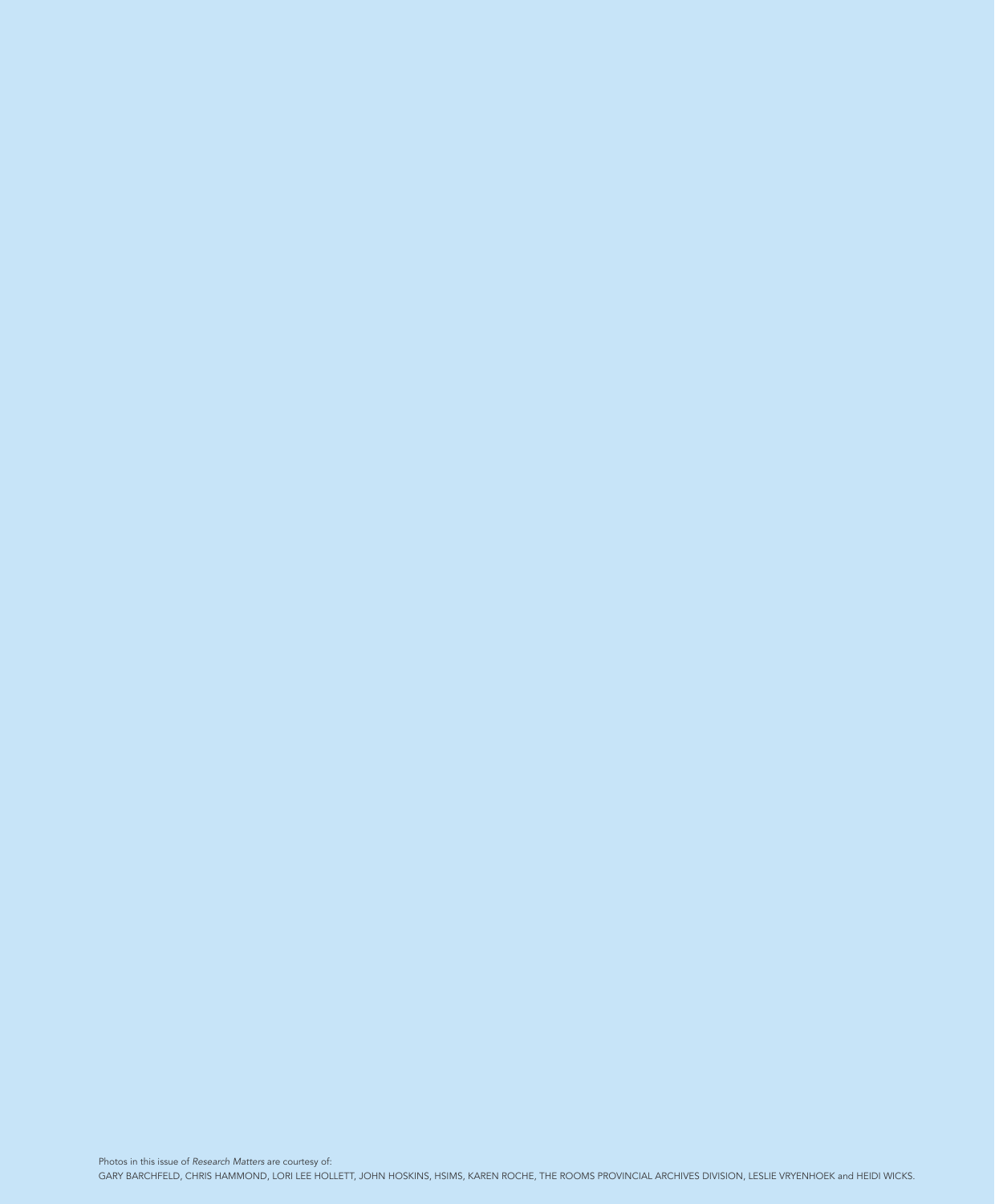Photos in this issue of Research Matters are courtesy of: GARY BARCHFELD, CHRIS HAMMOND, LORI LEE HOLLETT, JOHN HOSKINS, HSIMS, KAREN ROCHE, THE ROOMS PROVINCIAL ARCHIVES DIVISION, LESLIE VRYENHOEK and HEIDI WICKS.